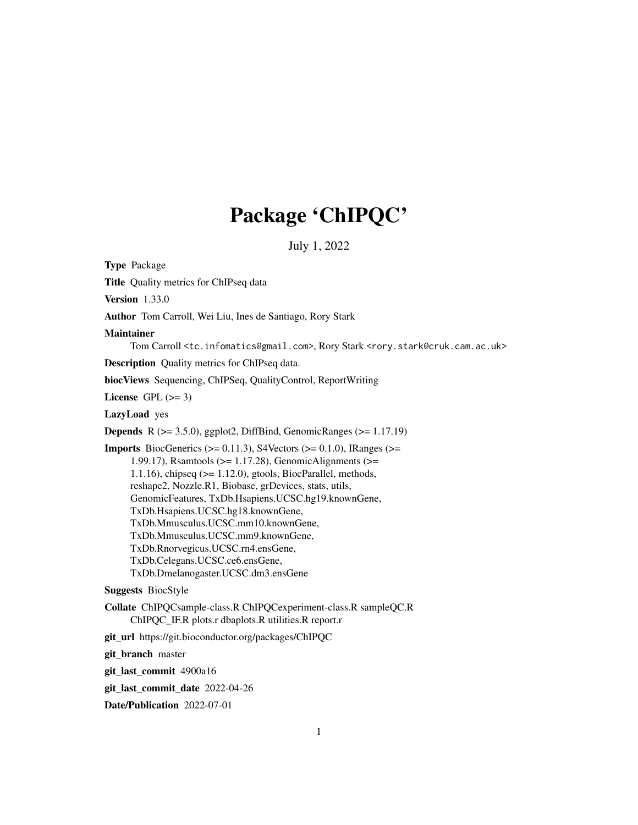# Package 'ChIPQC'

July 1, 2022

<span id="page-0-0"></span>Type Package Title Quality metrics for ChIPseq data Version 1.33.0 Author Tom Carroll, Wei Liu, Ines de Santiago, Rory Stark Maintainer Tom Carroll <tc.infomatics@gmail.com>, Rory Stark <rory.stark@cruk.cam.ac.uk> Description Quality metrics for ChIPseq data. biocViews Sequencing, ChIPSeq, QualityControl, ReportWriting License GPL  $(>= 3)$ LazyLoad yes **Depends** R  $(>= 3.5.0)$ , ggplot2, DiffBind, GenomicRanges  $(>= 1.17.19)$ **Imports** BiocGenerics ( $> = 0.11.3$ ), S4Vectors ( $> = 0.1.0$ ), IRanges ( $> =$ 1.99.17), Rsamtools (>= 1.17.28), GenomicAlignments (>= 1.1.16), chipseq  $(>= 1.12.0)$ , gtools, BiocParallel, methods, reshape2, Nozzle.R1, Biobase, grDevices, stats, utils, GenomicFeatures, TxDb.Hsapiens.UCSC.hg19.knownGene, TxDb.Hsapiens.UCSC.hg18.knownGene, TxDb.Mmusculus.UCSC.mm10.knownGene, TxDb.Mmusculus.UCSC.mm9.knownGene, TxDb.Rnorvegicus.UCSC.rn4.ensGene, TxDb.Celegans.UCSC.ce6.ensGene, TxDb.Dmelanogaster.UCSC.dm3.ensGene Suggests BiocStyle Collate ChIPQCsample-class.R ChIPQCexperiment-class.R sampleQC.R ChIPQC\_IF.R plots.r dbaplots.R utilities.R report.r git\_url https://git.bioconductor.org/packages/ChIPQC git\_branch master git\_last\_commit 4900a16

git\_last\_commit\_date 2022-04-26

Date/Publication 2022-07-01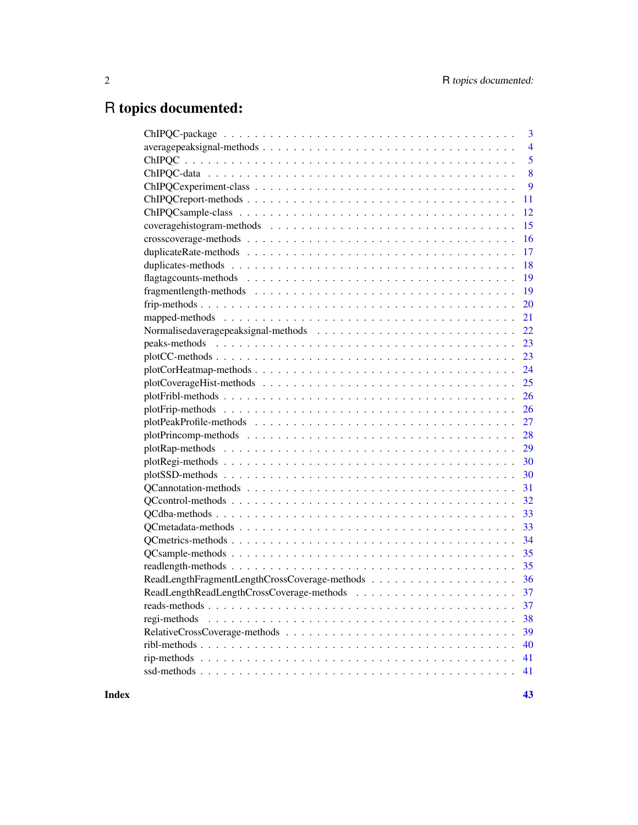# R topics documented:

| 3                  |
|--------------------|
| $\overline{4}$     |
| $\overline{5}$     |
| 8                  |
| $\overline{9}$     |
| 11                 |
| 12                 |
| 15                 |
| 16                 |
| 17                 |
| 18                 |
| 19                 |
| 19                 |
| 20                 |
| 21                 |
|                    |
|                    |
|                    |
|                    |
|                    |
| 26                 |
| 26                 |
|                    |
| 28                 |
| 29                 |
|                    |
|                    |
|                    |
|                    |
|                    |
|                    |
| 34                 |
|                    |
|                    |
|                    |
|                    |
| 37                 |
| 38<br>regi-methods |
| 39                 |
| 40                 |
| 41                 |
| 41                 |
|                    |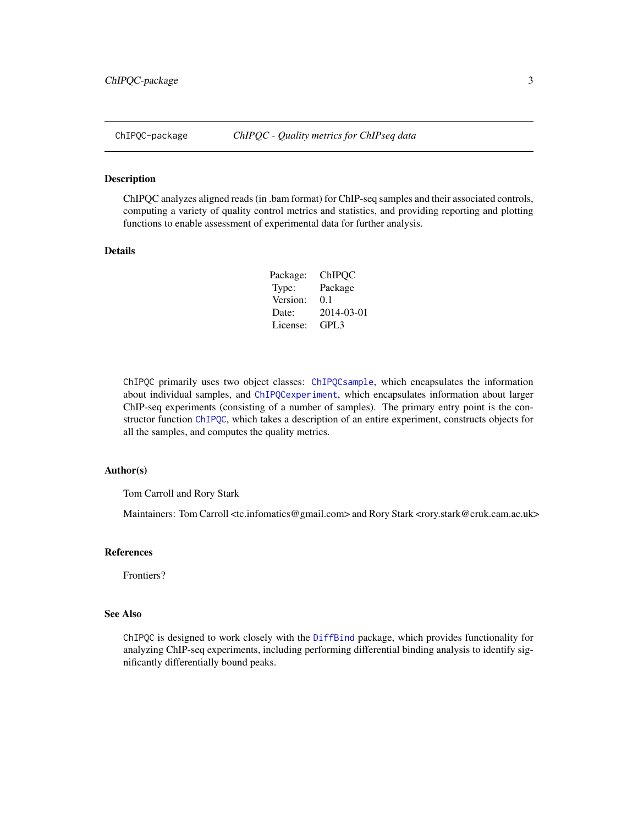<span id="page-2-1"></span><span id="page-2-0"></span>

#### Description

ChIPQC analyzes aligned reads (in .bam format) for ChIP-seq samples and their associated controls, computing a variety of quality control metrics and statistics, and providing reporting and plotting functions to enable assessment of experimental data for further analysis.

### Details

| Package: | ChIPQC     |
|----------|------------|
| Type:    | Package    |
| Version: | 0.1        |
| Date:    | 2014-03-01 |
| License: | GPL3       |

ChIPQC primarily uses two object classes: [ChIPQCsample](#page-11-1), which encapsulates the information about individual samples, and [ChIPQCexperiment](#page-8-1), which encapsulates information about larger ChIP-seq experiments (consisting of a number of samples). The primary entry point is the constructor function [ChIPQC](#page-4-1), which takes a description of an entire experiment, constructs objects for all the samples, and computes the quality metrics.

#### Author(s)

Tom Carroll and Rory Stark

Maintainers: Tom Carroll <tc.infomatics@gmail.com> and Rory Stark <rory.stark@cruk.cam.ac.uk>

#### References

Frontiers?

# See Also

ChIPQC is designed to work closely with the [DiffBind](#page-0-0) package, which provides functionality for analyzing ChIP-seq experiments, including performing differential binding analysis to identify significantly differentially bound peaks.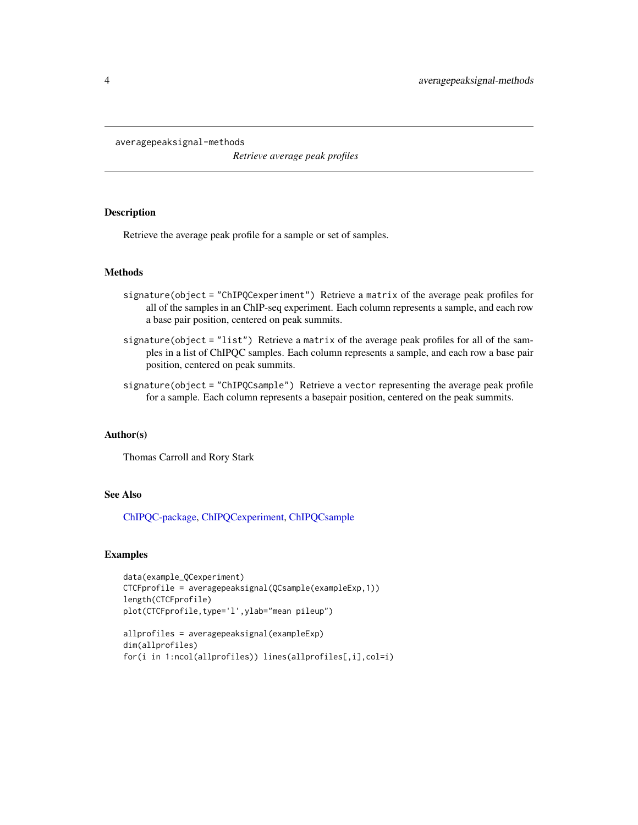<span id="page-3-0"></span>averagepeaksignal-methods

*Retrieve average peak profiles*

# <span id="page-3-1"></span>Description

Retrieve the average peak profile for a sample or set of samples.

#### Methods

- signature(object = "ChIPQCexperiment") Retrieve a matrix of the average peak profiles for all of the samples in an ChIP-seq experiment. Each column represents a sample, and each row a base pair position, centered on peak summits.
- signature(object = "list") Retrieve a matrix of the average peak profiles for all of the samples in a list of ChIPQC samples. Each column represents a sample, and each row a base pair position, centered on peak summits.
- signature(object = "ChIPQCsample") Retrieve a vector representing the average peak profile for a sample. Each column represents a basepair position, centered on the peak summits.

# Author(s)

Thomas Carroll and Rory Stark

# See Also

[ChIPQC-package,](#page-2-1) [ChIPQCexperiment,](#page-8-1) [ChIPQCsample](#page-11-1)

```
data(example_QCexperiment)
CTCFprofile = averagepeaksignal(QCsample(exampleExp,1))
length(CTCFprofile)
plot(CTCFprofile,type='l',ylab="mean pileup")
```

```
allprofiles = averagepeaksignal(exampleExp)
dim(allprofiles)
for(i in 1:ncol(allprofiles)) lines(allprofiles[,i],col=i)
```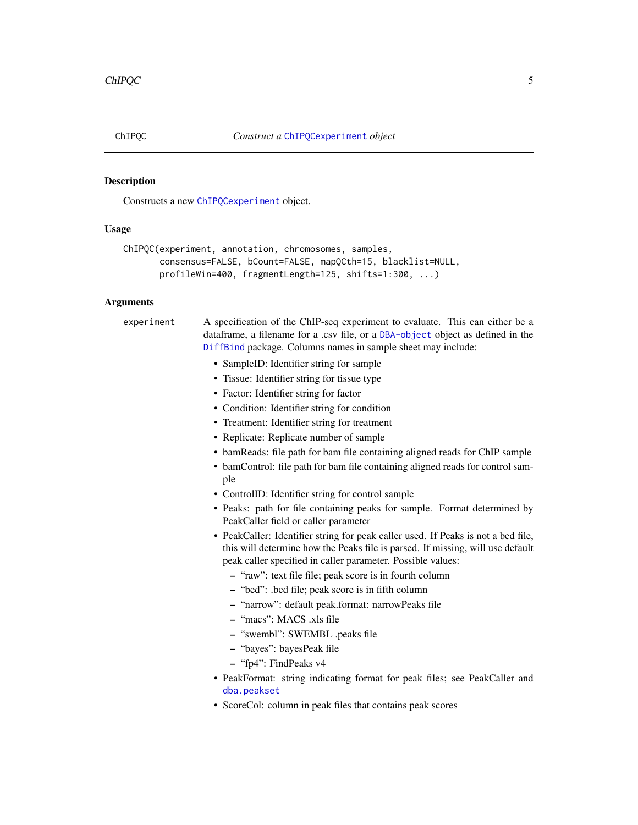# <span id="page-4-1"></span><span id="page-4-0"></span>Description

Constructs a new [ChIPQCexperiment](#page-8-1) object.

# Usage

```
ChIPQC(experiment, annotation, chromosomes, samples,
       consensus=FALSE, bCount=FALSE, mapQCth=15, blacklist=NULL,
       profileWin=400, fragmentLength=125, shifts=1:300, ...)
```
# Arguments

experiment A specification of the ChIP-seq experiment to evaluate. This can either be a dataframe, a filename for a .csv file, or a [DBA-object](#page-0-0) object as defined in the [DiffBind](#page-0-0) package. Columns names in sample sheet may include:

- SampleID: Identifier string for sample
- Tissue: Identifier string for tissue type
- Factor: Identifier string for factor
- Condition: Identifier string for condition
- Treatment: Identifier string for treatment
- Replicate: Replicate number of sample
- bamReads: file path for bam file containing aligned reads for ChIP sample
- bamControl: file path for bam file containing aligned reads for control sample
- ControlID: Identifier string for control sample
- Peaks: path for file containing peaks for sample. Format determined by PeakCaller field or caller parameter
- PeakCaller: Identifier string for peak caller used. If Peaks is not a bed file, this will determine how the Peaks file is parsed. If missing, will use default peak caller specified in caller parameter. Possible values:
	- "raw": text file file; peak score is in fourth column
	- "bed": .bed file; peak score is in fifth column
	- "narrow": default peak.format: narrowPeaks file
	- "macs": MACS .xls file
	- "swembl": SWEMBL .peaks file
	- "bayes": bayesPeak file
	- "fp4": FindPeaks v4
- PeakFormat: string indicating format for peak files; see PeakCaller and [dba.peakset](#page-0-0)
- ScoreCol: column in peak files that contains peak scores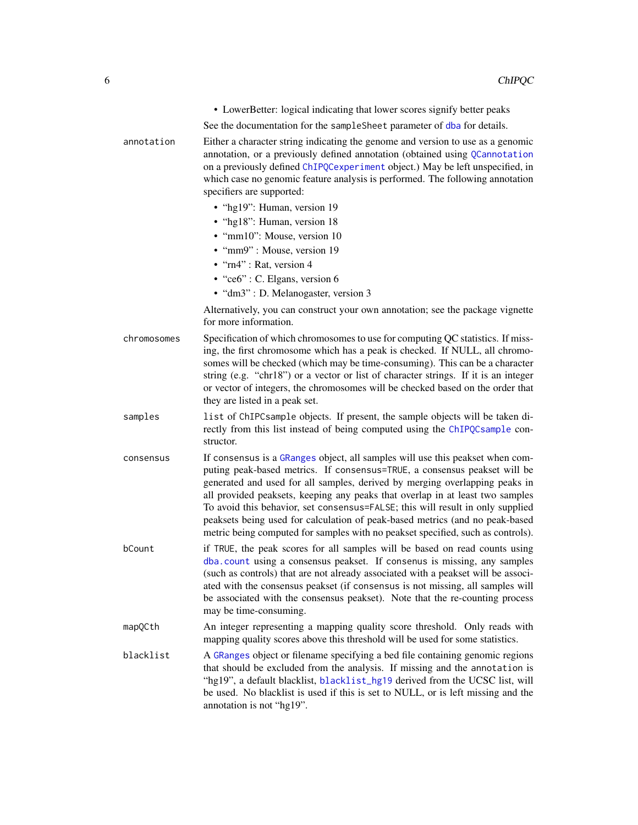<span id="page-5-0"></span>

|             | • LowerBetter: logical indicating that lower scores signify better peaks                                                                                                                                                                                                                                                                                                                                                                                                                                                                                                        |
|-------------|---------------------------------------------------------------------------------------------------------------------------------------------------------------------------------------------------------------------------------------------------------------------------------------------------------------------------------------------------------------------------------------------------------------------------------------------------------------------------------------------------------------------------------------------------------------------------------|
|             | See the documentation for the sampleSheet parameter of dba for details.                                                                                                                                                                                                                                                                                                                                                                                                                                                                                                         |
| annotation  | Either a character string indicating the genome and version to use as a genomic<br>annotation, or a previously defined annotation (obtained using QCannotation<br>on a previously defined ChIPQCexperiment object.) May be left unspecified, in<br>which case no genomic feature analysis is performed. The following annotation<br>specifiers are supported:<br>· "hg19": Human, version 19<br>· "hg18": Human, version 18                                                                                                                                                     |
|             | • "mm10": Mouse, version 10                                                                                                                                                                                                                                                                                                                                                                                                                                                                                                                                                     |
|             | • "mm9": Mouse, version 19                                                                                                                                                                                                                                                                                                                                                                                                                                                                                                                                                      |
|             | $\cdot$ "rn4": Rat, version 4<br>$\cdot$ "ce6": C. Elgans, version 6                                                                                                                                                                                                                                                                                                                                                                                                                                                                                                            |
|             | • "dm3" : D. Melanogaster, version 3                                                                                                                                                                                                                                                                                                                                                                                                                                                                                                                                            |
|             | Alternatively, you can construct your own annotation; see the package vignette                                                                                                                                                                                                                                                                                                                                                                                                                                                                                                  |
|             | for more information.                                                                                                                                                                                                                                                                                                                                                                                                                                                                                                                                                           |
| chromosomes | Specification of which chromosomes to use for computing QC statistics. If miss-<br>ing, the first chromosome which has a peak is checked. If NULL, all chromo-<br>somes will be checked (which may be time-consuming). This can be a character<br>string (e.g. "chr18") or a vector or list of character strings. If it is an integer<br>or vector of integers, the chromosomes will be checked based on the order that<br>they are listed in a peak set.                                                                                                                       |
| samples     | list of ChIPCsample objects. If present, the sample objects will be taken di-<br>rectly from this list instead of being computed using the ChIPQCsample con-<br>structor.                                                                                                                                                                                                                                                                                                                                                                                                       |
| consensus   | If consensus is a GRanges object, all samples will use this peakset when com-<br>puting peak-based metrics. If consensus=TRUE, a consensus peakset will be<br>generated and used for all samples, derived by merging overlapping peaks in<br>all provided peaksets, keeping any peaks that overlap in at least two samples<br>To avoid this behavior, set consensus=FALSE; this will result in only supplied<br>peaksets being used for calculation of peak-based metrics (and no peak-based<br>metric being computed for samples with no peakset specified, such as controls). |
| bCount      | if TRUE, the peak scores for all samples will be based on read counts using<br>dba.count using a consensus peakset. If consenus is missing, any samples<br>(such as controls) that are not already associated with a peakset will be associ-<br>ated with the consensus peakset (if consensus is not missing, all samples will<br>be associated with the consensus peakset). Note that the re-counting process<br>may be time-consuming.                                                                                                                                        |
| mapQCth     | An integer representing a mapping quality score threshold. Only reads with<br>mapping quality scores above this threshold will be used for some statistics.                                                                                                                                                                                                                                                                                                                                                                                                                     |
| blacklist   | A GRanges object or filename specifying a bed file containing genomic regions<br>that should be excluded from the analysis. If missing and the annotation is<br>"hg19", a default blacklist, blacklist_hg19 derived from the UCSC list, will<br>be used. No blacklist is used if this is set to NULL, or is left missing and the<br>annotation is not "hg19".                                                                                                                                                                                                                   |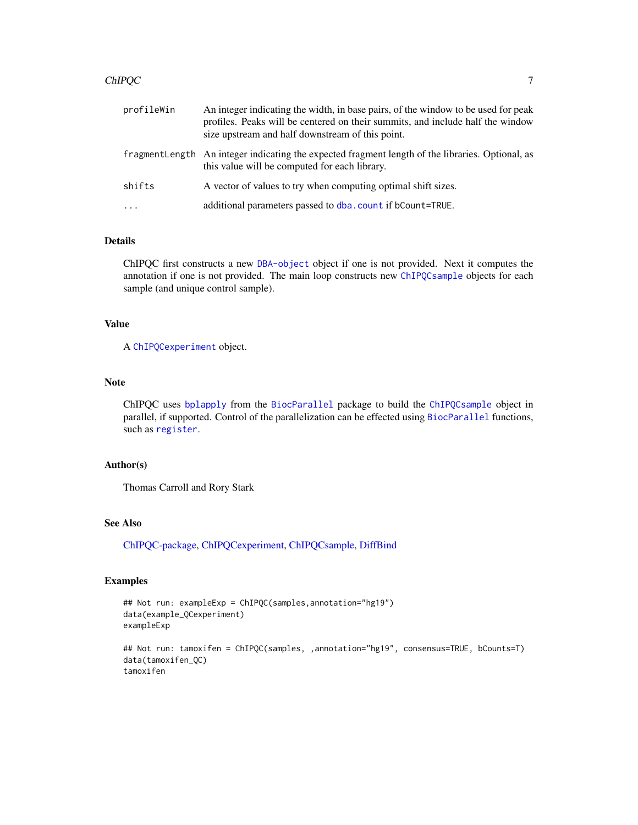#### <span id="page-6-0"></span>ChIPQC 7

| profileWin | An integer indicating the width, in base pairs, of the window to be used for peak<br>profiles. Peaks will be centered on their summits, and include half the window<br>size upstream and half downstream of this point. |
|------------|-------------------------------------------------------------------------------------------------------------------------------------------------------------------------------------------------------------------------|
|            | fragment Length An integer indicating the expected fragment length of the libraries. Optional, as<br>this value will be computed for each library.                                                                      |
| shifts     | A vector of values to try when computing optimal shift sizes.                                                                                                                                                           |
| $\ddots$   | additional parameters passed to dba. count if bCount=TRUE.                                                                                                                                                              |

# Details

ChIPQC first constructs a new [DBA-object](#page-0-0) object if one is not provided. Next it computes the annotation if one is not provided. The main loop constructs new [ChIPQCsample](#page-11-1) objects for each sample (and unique control sample).

# Value

A [ChIPQCexperiment](#page-8-1) object.

#### Note

ChIPQC uses [bplapply](#page-0-0) from the [BiocParallel](#page-0-0) package to build the [ChIPQCsample](#page-11-1) object in parallel, if supported. Control of the parallelization can be effected using [BiocParallel](#page-0-0) functions, such as [register](#page-0-0).

# Author(s)

Thomas Carroll and Rory Stark

# See Also

[ChIPQC-package,](#page-2-1) [ChIPQCexperiment,](#page-8-1) [ChIPQCsample,](#page-11-1) [DiffBind](#page-0-0)

```
## Not run: exampleExp = ChIPQC(samples,annotation="hg19")
data(example_QCexperiment)
exampleExp
```

```
## Not run: tamoxifen = ChIPQC(samples, ,annotation="hg19", consensus=TRUE, bCounts=T)
data(tamoxifen_QC)
tamoxifen
```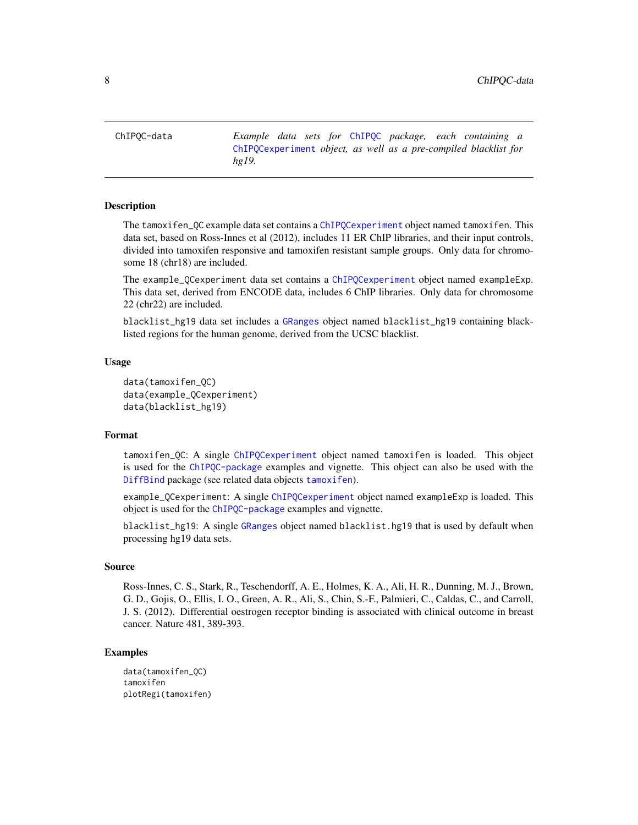<span id="page-7-0"></span>ChIPQC-data *Example data sets for* [ChIPQC](#page-4-1) *package, each containing a* [ChIPQCexperiment](#page-8-1) *object, as well as a pre-compiled blacklist for hg19.*

#### <span id="page-7-1"></span>Description

The tamoxifen\_QC example data set contains a [ChIPQCexperiment](#page-8-1) object named tamoxifen. This data set, based on Ross-Innes et al (2012), includes 11 ER ChIP libraries, and their input controls, divided into tamoxifen responsive and tamoxifen resistant sample groups. Only data for chromosome 18 (chr18) are included.

The example\_QCexperiment data set contains a [ChIPQCexperiment](#page-8-1) object named exampleExp. This data set, derived from ENCODE data, includes 6 ChIP libraries. Only data for chromosome 22 (chr22) are included.

blacklist\_hg19 data set includes a [GRanges](#page-0-0) object named blacklist\_hg19 containing blacklisted regions for the human genome, derived from the UCSC blacklist.

# Usage

```
data(tamoxifen_QC)
data(example_QCexperiment)
data(blacklist_hg19)
```
# Format

tamoxifen\_QC: A single [ChIPQCexperiment](#page-8-1) object named tamoxifen is loaded. This object is used for the [ChIPQC-package](#page-2-1) examples and vignette. This object can also be used with the [DiffBind](#page-0-0) package (see related data objects [tamoxifen](#page-7-1)).

example\_QCexperiment: A single [ChIPQCexperiment](#page-8-1) object named exampleExp is loaded. This object is used for the [ChIPQC-package](#page-2-1) examples and vignette.

blacklist\_hg19: A single [GRanges](#page-0-0) object named blacklist.hg19 that is used by default when processing hg19 data sets.

#### Source

Ross-Innes, C. S., Stark, R., Teschendorff, A. E., Holmes, K. A., Ali, H. R., Dunning, M. J., Brown, G. D., Gojis, O., Ellis, I. O., Green, A. R., Ali, S., Chin, S.-F., Palmieri, C., Caldas, C., and Carroll, J. S. (2012). Differential oestrogen receptor binding is associated with clinical outcome in breast cancer. Nature 481, 389-393.

```
data(tamoxifen_QC)
tamoxifen
plotRegi(tamoxifen)
```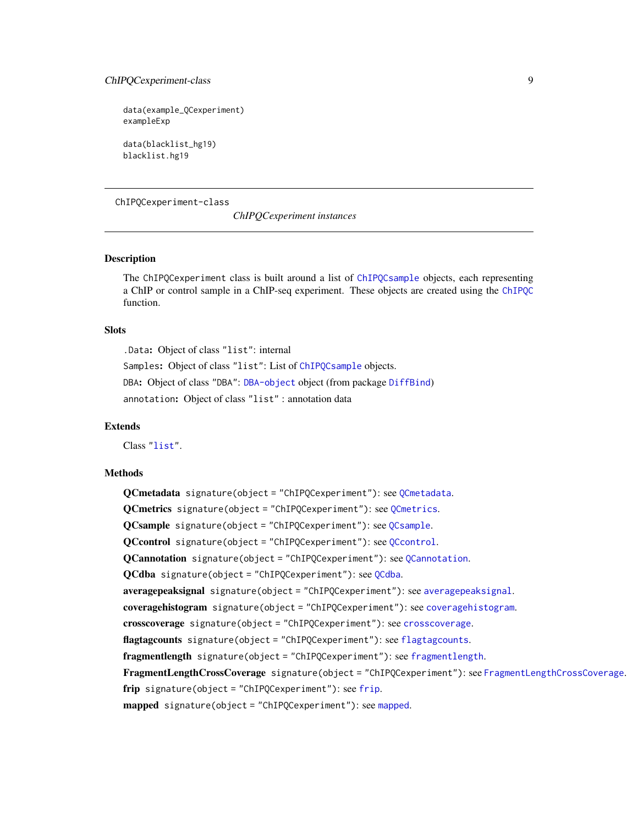# <span id="page-8-0"></span>ChIPQCexperiment-class 9

```
data(example_QCexperiment)
exampleExp
```
data(blacklist\_hg19) blacklist.hg19

# ChIPQCexperiment-class

*ChIPQCexperiment instances*

# <span id="page-8-1"></span>**Description**

The ChIPQCexperiment class is built around a list of [ChIPQCsample](#page-11-1) objects, each representing a ChIP or control sample in a ChIP-seq experiment. These objects are created using the [ChIPQC](#page-4-1) function.

#### **Slots**

.Data: Object of class "list": internal Samples: Object of class "list": List of [ChIPQCsample](#page-11-1) objects. DBA: Object of class "DBA": [DBA-object](#page-0-0) object (from package [DiffBind](#page-0-0)) annotation: Object of class "list" : annotation data

#### Extends

Class ["list"](#page-0-0).

#### Methods

QCmetadata signature(object = "ChIPQCexperiment"): see [QCmetadata](#page-32-1). QCmetrics signature(object = "ChIPQCexperiment"): see [QCmetrics](#page-33-1). QCsample signature(object = "ChIPQCexperiment"): see [QCsample](#page-34-1). QCcontrol signature(object = "ChIPQCexperiment"): see [QCcontrol](#page-31-1). QCannotation signature(object = "ChIPQCexperiment"): see [QCannotation](#page-30-1). QCdba signature(object = "ChIPQCexperiment"): see [QCdba](#page-32-2). [averagepeaksignal](#page-3-1) signature(object = "ChIPQCexperiment"): see averagepeaksignal. coveragehistogram signature(object = "ChIPQCexperiment"): see [coveragehistogram](#page-14-1). crosscoverage signature(object = "ChIPQCexperiment"): see [crosscoverage](#page-15-1). [flagtagcounts](#page-18-1) signature(object = "ChIPQCexperiment"): see flagtagcounts. [fragmentlength](#page-18-2) signature(object = "ChIPQCexperiment"): see fragmentlength. [FragmentLengthCrossCoverage](#page-35-1) signature(object = "ChIPQCexperiment"): see FragmentLengthCrossCoverage. [frip](#page-19-1) signature(object = "ChIPQCexperiment"): see frip. [mapped](#page-20-1) signature(object = "ChIPQCexperiment"): see mapped.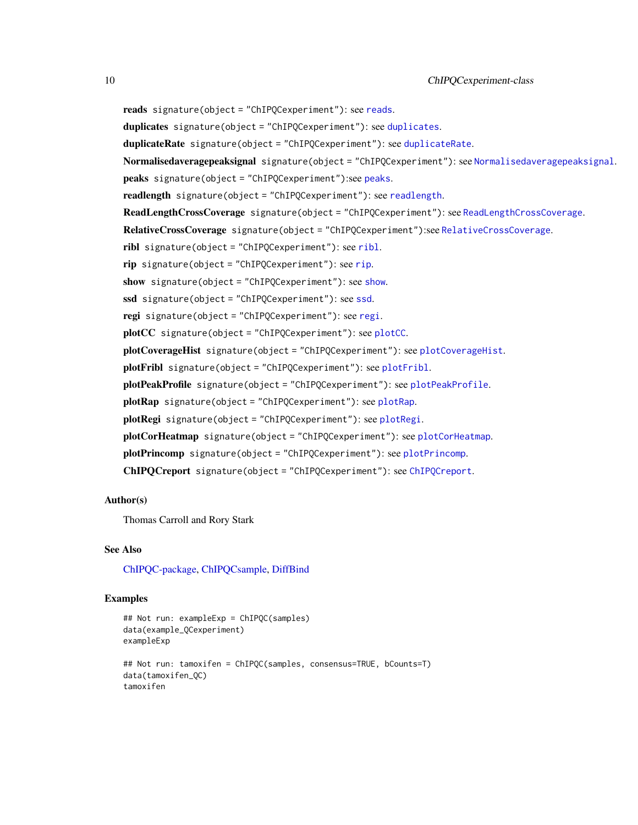```
reads signature(object = "ChIPQCexperiment"): see reads.
duplicates signature(object = "ChIPQCexperiment"): see duplicates.
duplicateRate signature(object = "ChIPQCexperiment"): see duplicateRate.
Normalisedaveragepeaksignal signature(object = "ChIPQCexperiment"): see Normalisedaveragepeaksignal.
peaks signature(object = "ChIPQCexperiment"):see peaks.
readlength signature(object = "ChIPQCexperiment"): see readlength.
ReadLengthCrossCoverage signature(object = "ChIPQCexperiment"): see ReadLengthCrossCoverage.
RelativeCrossCoverage signature(object = "ChIPQCexperiment"):see RelativeCrossCoverage.
ribl signature(object = "ChIPQCexperiment"): see ribl.
rip signature(object = "ChIPQCexperiment"): see rip.
show signature(object = "ChIPQCexperiment"): see show.
ssd signature(object = "ChIPQCexperiment"): see ssd.
regi signature(object = "ChIPQCexperiment"): see regi.
plotCC signature(object = "ChIPQCexperiment"): see plotCC.
plotCoverageHist signature(object = "ChIPQCexperiment"): see plotCoverageHist.
plotFribl signature(object = "ChIPQCexperiment"): see plotFribl.
plotPeakProfile signature(object = "ChIPQCexperiment"): see plotPeakProfile.
plotRap signature(object = "ChIPQCexperiment"): see plotRap.
plotRegi signature(object = "ChIPQCexperiment"): see plotRegi.
plotCorHeatmap signature(object = "ChIPQCexperiment"): see plotCorHeatmap.
plotPrincomp signature(object = "ChIPQCexperiment"): see plotPrincomp.
ChIPQCreport signature(object = "ChIPQCexperiment"): see ChIPQCreport.
```
#### Author(s)

Thomas Carroll and Rory Stark

#### See Also

[ChIPQC-package,](#page-2-1) [ChIPQCsample,](#page-11-1) [DiffBind](#page-0-0)

```
## Not run: exampleExp = ChIPQC(samples)
data(example_QCexperiment)
exampleExp
## Not run: tamoxifen = ChIPQC(samples, consensus=TRUE, bCounts=T)
data(tamoxifen_QC)
tamoxifen
```
<span id="page-9-0"></span>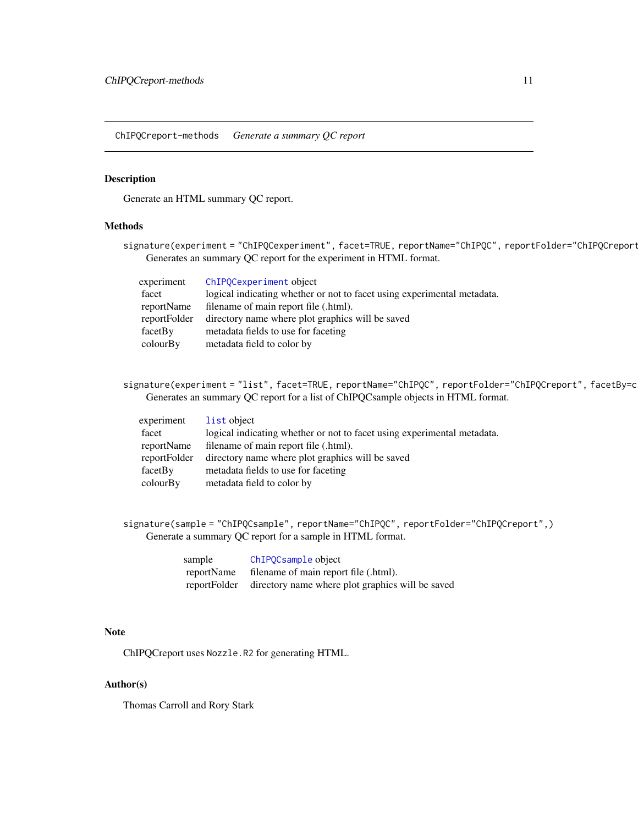<span id="page-10-0"></span>ChIPQCreport-methods *Generate a summary QC report*

# <span id="page-10-1"></span>Description

Generate an HTML summary QC report.

# Methods

signature(experiment = "ChIPQCexperiment", facet=TRUE, reportName="ChIPQC", reportFolder="ChIPQCreport Generates an summary QC report for the experiment in HTML format.

| experiment   | ChIPQCexperiment object                                                 |
|--------------|-------------------------------------------------------------------------|
| facet        | logical indicating whether or not to facet using experimental metadata. |
| reportName   | filename of main report file (.html).                                   |
| reportFolder | directory name where plot graphics will be saved                        |
| facetBy      | metadata fields to use for faceting                                     |
| colourBy     | metadata field to color by                                              |

signature(experiment = "list", facet=TRUE, reportName="ChIPQC", reportFolder="ChIPQCreport", facetBy=c Generates an summary QC report for a list of ChIPQCsample objects in HTML format.

| experiment   | list object                                                             |
|--------------|-------------------------------------------------------------------------|
| facet        | logical indicating whether or not to facet using experimental metadata. |
| reportName   | filename of main report file (.html).                                   |
| reportFolder | directory name where plot graphics will be saved                        |
| facetBy      | metadata fields to use for faceting                                     |
| colourBy     | metadata field to color by                                              |

signature(sample = "ChIPQCsample", reportName="ChIPQC", reportFolder="ChIPQCreport",) Generate a summary QC report for a sample in HTML format.

| sample     | ChIPQCsample object                                           |
|------------|---------------------------------------------------------------|
| reportName | filename of main report file (.html).                         |
|            | reportFolder directory name where plot graphics will be saved |

#### Note

ChIPQCreport uses Nozzle.R2 for generating HTML.

#### Author(s)

Thomas Carroll and Rory Stark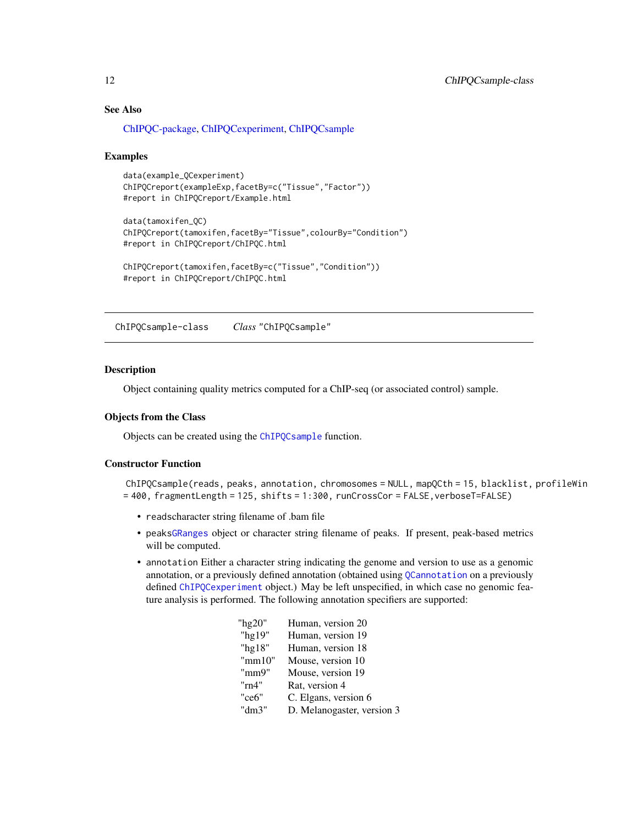# See Also

[ChIPQC-package,](#page-2-1) [ChIPQCexperiment,](#page-8-1) [ChIPQCsample](#page-11-1)

#### Examples

```
data(example_QCexperiment)
ChIPQCreport(exampleExp,facetBy=c("Tissue","Factor"))
#report in ChIPQCreport/Example.html
```

```
data(tamoxifen_QC)
ChIPQCreport(tamoxifen,facetBy="Tissue",colourBy="Condition")
#report in ChIPQCreport/ChIPQC.html
```

```
ChIPQCreport(tamoxifen,facetBy=c("Tissue","Condition"))
#report in ChIPQCreport/ChIPQC.html
```
ChIPQCsample-class *Class* "ChIPQCsample"

#### <span id="page-11-1"></span>Description

Object containing quality metrics computed for a ChIP-seq (or associated control) sample.

#### Objects from the Class

Objects can be created using the [ChIPQCsample](#page-11-1) function.

# Constructor Function

```
ChIPQCsample(reads, peaks, annotation, chromosomes = NULL, mapQCth = 15, blacklist, profileWin
= 400, fragmentLength = 125, shifts = 1:300, runCrossCor = FALSE,verboseT=FALSE)
```
- readscharacter string filename of .bam file
- peak[sGRanges](#page-0-0) object or character string filename of peaks. If present, peak-based metrics will be computed.
- annotation Either a character string indicating the genome and version to use as a genomic annotation, or a previously defined annotation (obtained using [QCannotation](#page-30-1) on a previously defined [ChIPQCexperiment](#page-8-1) object.) May be left unspecified, in which case no genomic feature analysis is performed. The following annotation specifiers are supported:

| " $hg20"$ | Human, version 20          |
|-----------|----------------------------|
| "hg19"    | Human, version 19          |
| "hg18"    | Human, version 18          |
| "mm10"    | Mouse, version 10          |
| "mm9"     | Mouse, version 19          |
| "rn4"     | Rat, version 4             |
| "ce6"     | C. Elgans, version 6       |
| "dm3"     | D. Melanogaster, version 3 |
|           |                            |

<span id="page-11-0"></span>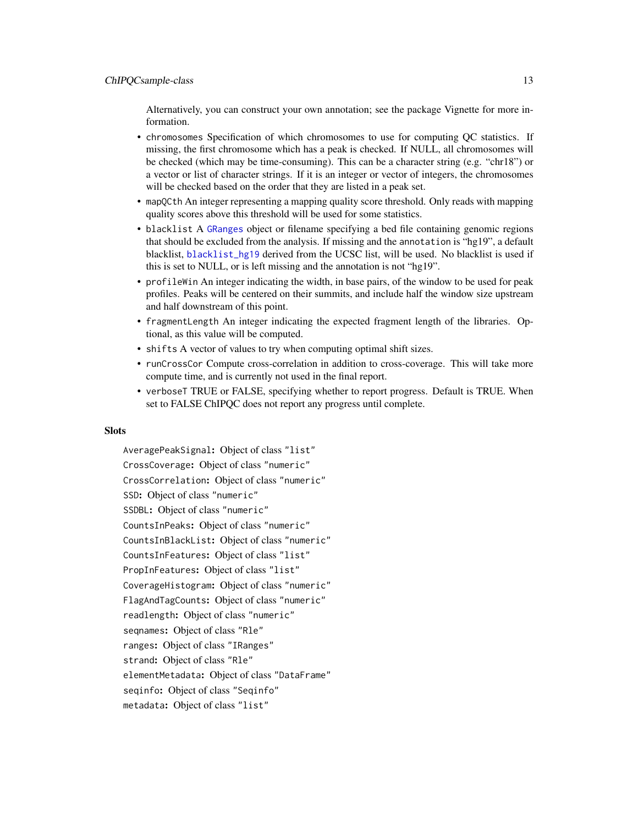<span id="page-12-0"></span>Alternatively, you can construct your own annotation; see the package Vignette for more information.

- chromosomes Specification of which chromosomes to use for computing QC statistics. If missing, the first chromosome which has a peak is checked. If NULL, all chromosomes will be checked (which may be time-consuming). This can be a character string (e.g. "chr18") or a vector or list of character strings. If it is an integer or vector of integers, the chromosomes will be checked based on the order that they are listed in a peak set.
- mapQCth An integer representing a mapping quality score threshold. Only reads with mapping quality scores above this threshold will be used for some statistics.
- blacklist A [GRanges](#page-0-0) object or filename specifying a bed file containing genomic regions that should be excluded from the analysis. If missing and the annotation is "hg19", a default blacklist, [blacklist\\_hg19](#page-7-1) derived from the UCSC list, will be used. No blacklist is used if this is set to NULL, or is left missing and the annotation is not "hg19".
- profileWin An integer indicating the width, in base pairs, of the window to be used for peak profiles. Peaks will be centered on their summits, and include half the window size upstream and half downstream of this point.
- fragmentLength An integer indicating the expected fragment length of the libraries. Optional, as this value will be computed.
- shifts A vector of values to try when computing optimal shift sizes.
- runCrossCor Compute cross-correlation in addition to cross-coverage. This will take more compute time, and is currently not used in the final report.
- verboseT TRUE or FALSE, specifying whether to report progress. Default is TRUE. When set to FALSE ChIPQC does not report any progress until complete.

#### Slots

AveragePeakSignal: Object of class "list" CrossCoverage: Object of class "numeric" CrossCorrelation: Object of class "numeric" SSD: Object of class "numeric" SSDBL: Object of class "numeric" CountsInPeaks: Object of class "numeric" CountsInBlackList: Object of class "numeric" CountsInFeatures: Object of class "list" PropInFeatures: Object of class "list" CoverageHistogram: Object of class "numeric" FlagAndTagCounts: Object of class "numeric" readlength: Object of class "numeric" seqnames: Object of class "Rle" ranges: Object of class "IRanges" strand: Object of class "Rle" elementMetadata: Object of class "DataFrame" seqinfo: Object of class "Seqinfo" metadata: Object of class "list"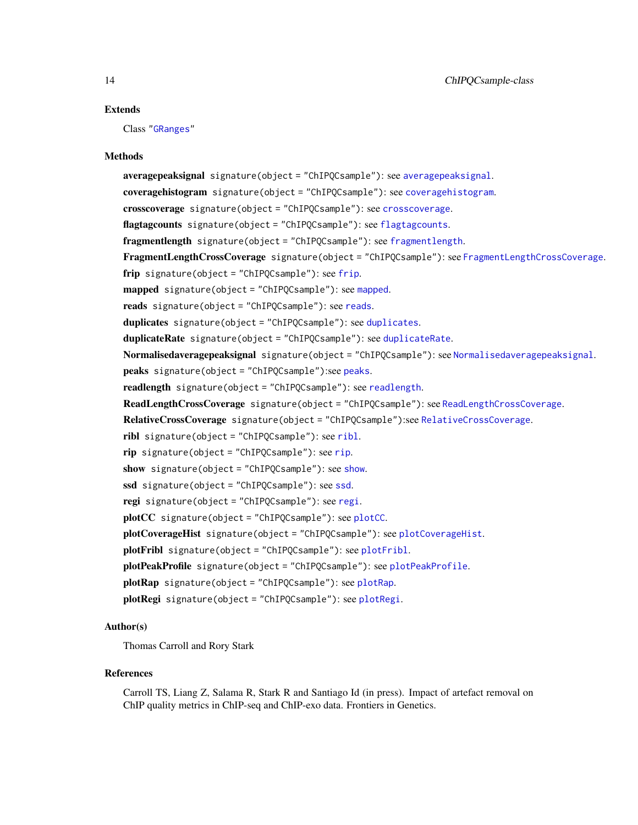#### <span id="page-13-0"></span>Extends

Class ["GRanges"](#page-0-0)

#### Methods

averagepeaksignal signature(object = "ChIPQCsample"): see [averagepeaksignal](#page-3-1). coveragehistogram signature(object = "ChIPQCsample"): see [coveragehistogram](#page-14-1). crosscoverage signature(object = "ChIPQCsample"): see [crosscoverage](#page-15-1). [flagtagcounts](#page-18-1) signature(object = "ChIPQCsample"): see flagtagcounts. fragmentlength signature(object = "ChIPQCsample"): see [fragmentlength](#page-18-2). FragmentLengthCrossCoverage signature(object = "ChIPQCsample"): see [FragmentLengthCrossCoverage](#page-35-1). [frip](#page-19-1) signature(object = "ChIPQCsample"): see frip. [mapped](#page-20-1) signature(object = "ChIPQCsample"): see mapped. reads signature(object = "ChIPQCsample"): see [reads](#page-36-1). [duplicates](#page-17-1) signature(object = "ChIPQCsample"): see duplicates. [duplicateRate](#page-16-1) signature(object = "ChIPQCsample"): see duplicateRate. [Normalisedaveragepeaksignal](#page-21-1) signature(object = "ChIPQCsample"): see Normalisedaveragepeaksignal. peaks signature(object = "ChIPQCsample"):see [peaks](#page-22-1). readlength signature(object = "ChIPQCsample"): see [readlength](#page-34-2). ReadLengthCrossCoverage signature(object = "ChIPQCsample"): see [ReadLengthCrossCoverage](#page-36-2). RelativeCrossCoverage signature(object = "ChIPQCsample"):see [RelativeCrossCoverage](#page-38-1). ribl signature(object = "ChIPQCsample"): see [ribl](#page-39-1). rip signature(object = "ChIPQCsample"): see [rip](#page-40-1). [show](#page-0-0) signature(object = "ChIPQCsample"): see show. [ssd](#page-40-2) signature(object = "ChIPQCsample"): see ssd. regi signature(object = "ChIPQCsample"): see [regi](#page-37-1). plotCC signature(object = "ChIPQCsample"): see [plotCC](#page-22-2). plotCoverageHist signature(object = "ChIPQCsample"): see [plotCoverageHist](#page-24-1). [plotFribl](#page-25-1) signature(object = "ChIPQCsample"): see plotFribl. plotPeakProfile signature(object = "ChIPQCsample"): see [plotPeakProfile](#page-26-1). [plotRap](#page-28-1) signature(object = "ChIPQCsample"): see plotRap. plotRegi signature(object = "ChIPQCsample"): see [plotRegi](#page-29-1).

#### Author(s)

Thomas Carroll and Rory Stark

#### References

Carroll TS, Liang Z, Salama R, Stark R and Santiago Id (in press). Impact of artefact removal on ChIP quality metrics in ChIP-seq and ChIP-exo data. Frontiers in Genetics.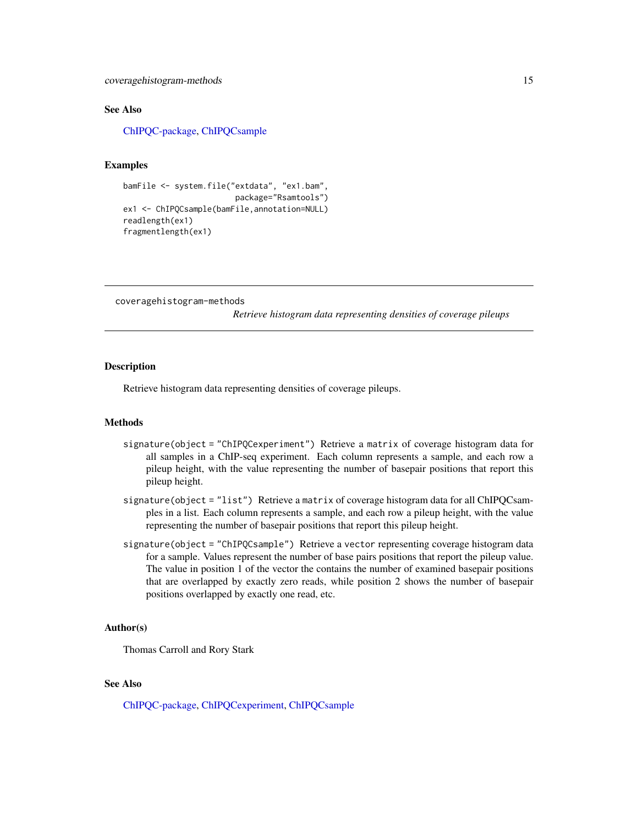<span id="page-14-0"></span>coveragehistogram-methods 15

#### See Also

[ChIPQC-package,](#page-2-1) [ChIPQCsample](#page-11-1)

# Examples

```
bamFile <- system.file("extdata", "ex1.bam",
                        package="Rsamtools")
ex1 <- ChIPQCsample(bamFile,annotation=NULL)
readlength(ex1)
fragmentlength(ex1)
```
coveragehistogram-methods

*Retrieve histogram data representing densities of coverage pileups*

# <span id="page-14-1"></span>**Description**

Retrieve histogram data representing densities of coverage pileups.

#### Methods

- signature(object = "ChIPQCexperiment") Retrieve a matrix of coverage histogram data for all samples in a ChIP-seq experiment. Each column represents a sample, and each row a pileup height, with the value representing the number of basepair positions that report this pileup height.
- signature(object = "list") Retrieve a matrix of coverage histogram data for all ChIPQCsamples in a list. Each column represents a sample, and each row a pileup height, with the value representing the number of basepair positions that report this pileup height.
- signature(object = "ChIPQCsample") Retrieve a vector representing coverage histogram data for a sample. Values represent the number of base pairs positions that report the pileup value. The value in position 1 of the vector the contains the number of examined basepair positions that are overlapped by exactly zero reads, while position 2 shows the number of basepair positions overlapped by exactly one read, etc.

#### Author(s)

Thomas Carroll and Rory Stark

# See Also

[ChIPQC-package,](#page-2-1) [ChIPQCexperiment,](#page-8-1) [ChIPQCsample](#page-11-1)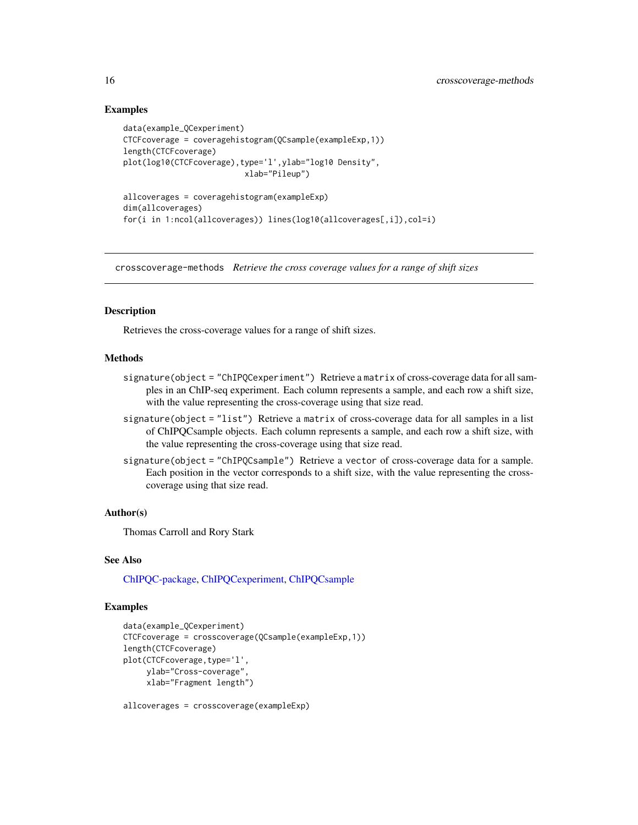# Examples

```
data(example_QCexperiment)
CTCFcoverage = coveragehistogram(QCsample(exampleExp,1))
length(CTCFcoverage)
plot(log10(CTCFcoverage),type='l',ylab="log10 Density",
                          xlab="Pileup")
```

```
allcoverages = coveragehistogram(exampleExp)
dim(allcoverages)
for(i in 1:ncol(allcoverages)) lines(log10(allcoverages[,i]),col=i)
```
crosscoverage-methods *Retrieve the cross coverage values for a range of shift sizes*

#### <span id="page-15-1"></span>**Description**

Retrieves the cross-coverage values for a range of shift sizes.

# Methods

- signature(object = "ChIPQCexperiment") Retrieve a matrix of cross-coverage data for all samples in an ChIP-seq experiment. Each column represents a sample, and each row a shift size, with the value representing the cross-coverage using that size read.
- signature(object = "list") Retrieve a matrix of cross-coverage data for all samples in a list of ChIPQCsample objects. Each column represents a sample, and each row a shift size, with the value representing the cross-coverage using that size read.
- signature(object = "ChIPQCsample") Retrieve a vector of cross-coverage data for a sample. Each position in the vector corresponds to a shift size, with the value representing the crosscoverage using that size read.

#### Author(s)

Thomas Carroll and Rory Stark

#### See Also

[ChIPQC-package,](#page-2-1) [ChIPQCexperiment,](#page-8-1) [ChIPQCsample](#page-11-1)

# Examples

```
data(example_QCexperiment)
CTCFcoverage = crosscoverage(QCsample(exampleExp,1))
length(CTCFcoverage)
plot(CTCFcoverage, type='l',
     ylab="Cross-coverage",
     xlab="Fragment length")
```
allcoverages = crosscoverage(exampleExp)

<span id="page-15-0"></span>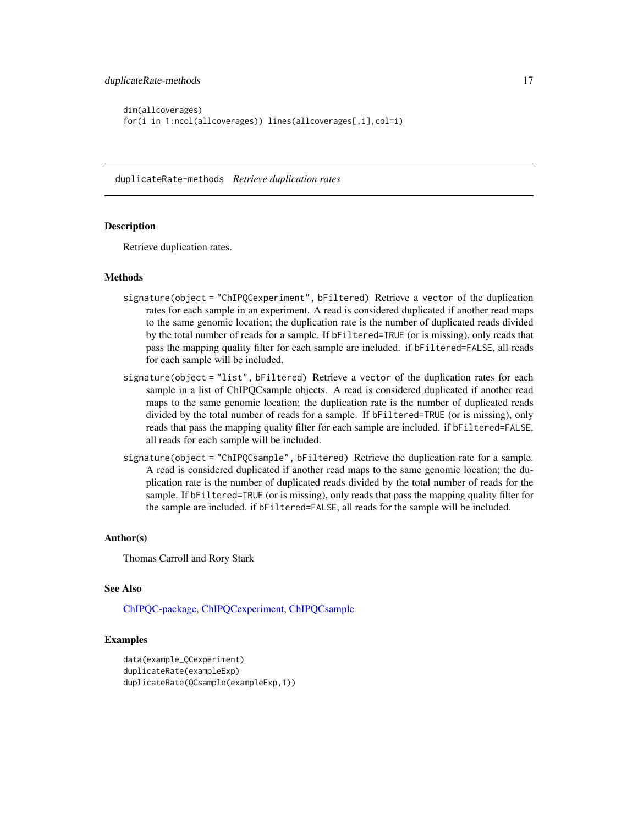```
dim(allcoverages)
for(i in 1:ncol(allcoverages)) lines(allcoverages[,i],col=i)
```
duplicateRate-methods *Retrieve duplication rates*

#### <span id="page-16-1"></span>Description

Retrieve duplication rates.

#### Methods

- signature(object = "ChIPQCexperiment", bFiltered) Retrieve a vector of the duplication rates for each sample in an experiment. A read is considered duplicated if another read maps to the same genomic location; the duplication rate is the number of duplicated reads divided by the total number of reads for a sample. If bFiltered=TRUE (or is missing), only reads that pass the mapping quality filter for each sample are included. if bFiltered=FALSE, all reads for each sample will be included.
- signature(object = "list", bFiltered) Retrieve a vector of the duplication rates for each sample in a list of ChIPQCsample objects. A read is considered duplicated if another read maps to the same genomic location; the duplication rate is the number of duplicated reads divided by the total number of reads for a sample. If bFiltered=TRUE (or is missing), only reads that pass the mapping quality filter for each sample are included. if bFiltered=FALSE, all reads for each sample will be included.
- signature(object = "ChIPQCsample", bFiltered) Retrieve the duplication rate for a sample. A read is considered duplicated if another read maps to the same genomic location; the duplication rate is the number of duplicated reads divided by the total number of reads for the sample. If bFiltered=TRUE (or is missing), only reads that pass the mapping quality filter for the sample are included. if bFiltered=FALSE, all reads for the sample will be included.

#### Author(s)

Thomas Carroll and Rory Stark

#### See Also

[ChIPQC-package,](#page-2-1) [ChIPQCexperiment,](#page-8-1) [ChIPQCsample](#page-11-1)

```
data(example_QCexperiment)
duplicateRate(exampleExp)
duplicateRate(QCsample(exampleExp,1))
```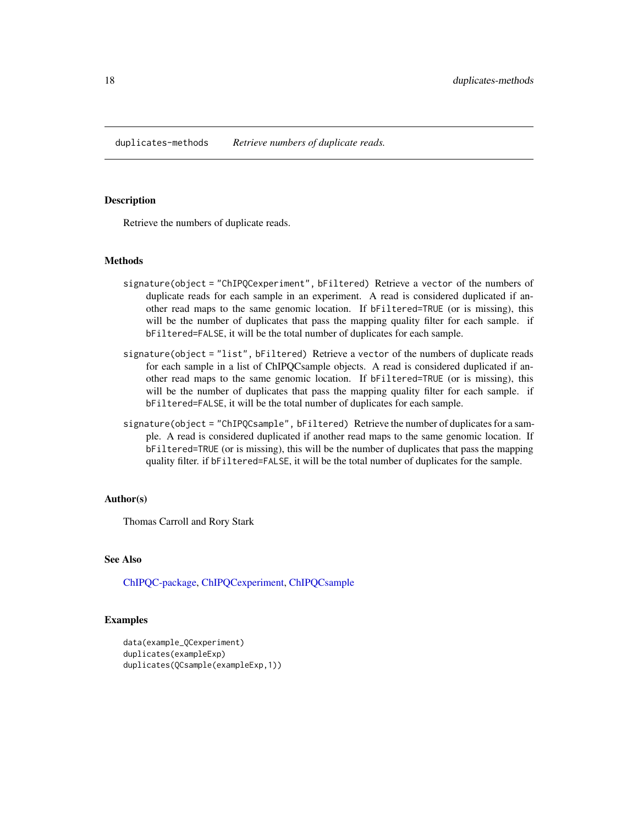<span id="page-17-0"></span>duplicates-methods *Retrieve numbers of duplicate reads.*

# <span id="page-17-1"></span>Description

Retrieve the numbers of duplicate reads.

#### Methods

- signature(object = "ChIPQCexperiment", bFiltered) Retrieve a vector of the numbers of duplicate reads for each sample in an experiment. A read is considered duplicated if another read maps to the same genomic location. If bFiltered=TRUE (or is missing), this will be the number of duplicates that pass the mapping quality filter for each sample. if bFiltered=FALSE, it will be the total number of duplicates for each sample.
- signature(object = "list", bFiltered) Retrieve a vector of the numbers of duplicate reads for each sample in a list of ChIPQCsample objects. A read is considered duplicated if another read maps to the same genomic location. If bFiltered=TRUE (or is missing), this will be the number of duplicates that pass the mapping quality filter for each sample. if bFiltered=FALSE, it will be the total number of duplicates for each sample.
- signature(object = "ChIPQCsample", bFiltered) Retrieve the number of duplicates for a sample. A read is considered duplicated if another read maps to the same genomic location. If bFiltered=TRUE (or is missing), this will be the number of duplicates that pass the mapping quality filter. if bFiltered=FALSE, it will be the total number of duplicates for the sample.

#### Author(s)

Thomas Carroll and Rory Stark

# See Also

[ChIPQC-package,](#page-2-1) [ChIPQCexperiment,](#page-8-1) [ChIPQCsample](#page-11-1)

```
data(example_QCexperiment)
duplicates(exampleExp)
duplicates(QCsample(exampleExp,1))
```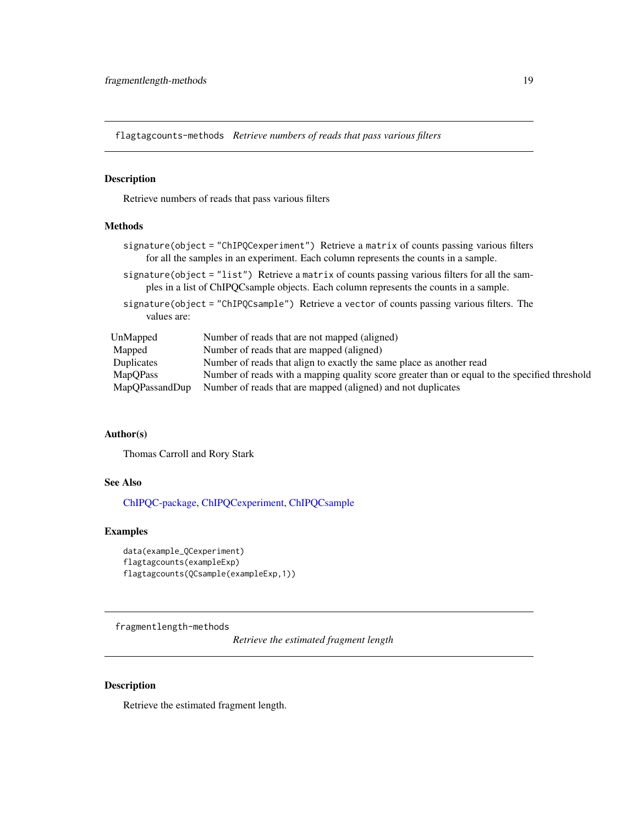<span id="page-18-0"></span>flagtagcounts-methods *Retrieve numbers of reads that pass various filters*

#### <span id="page-18-1"></span>Description

Retrieve numbers of reads that pass various filters

# **Methods**

- signature(object = "ChIPQCexperiment") Retrieve a matrix of counts passing various filters for all the samples in an experiment. Each column represents the counts in a sample.
- signature(object = "list") Retrieve a matrix of counts passing various filters for all the samples in a list of ChIPQCsample objects. Each column represents the counts in a sample.
- signature(object = "ChIPQCsample") Retrieve a vector of counts passing various filters. The values are:

| UnMapped        | Number of reads that are not mapped (aligned)                                                 |
|-----------------|-----------------------------------------------------------------------------------------------|
| Mapped          | Number of reads that are mapped (aligned)                                                     |
| Duplicates      | Number of reads that align to exactly the same place as another read                          |
| <b>MapOPass</b> | Number of reads with a mapping quality score greater than or equal to the specified threshold |
| MapOPassandDup  | Number of reads that are mapped (aligned) and not duplicates                                  |

#### Author(s)

Thomas Carroll and Rory Stark

# See Also

[ChIPQC-package,](#page-2-1) [ChIPQCexperiment,](#page-8-1) [ChIPQCsample](#page-11-1)

# Examples

```
data(example_QCexperiment)
flagtagcounts(exampleExp)
flagtagcounts(QCsample(exampleExp,1))
```
fragmentlength-methods

*Retrieve the estimated fragment length*

# <span id="page-18-2"></span>Description

Retrieve the estimated fragment length.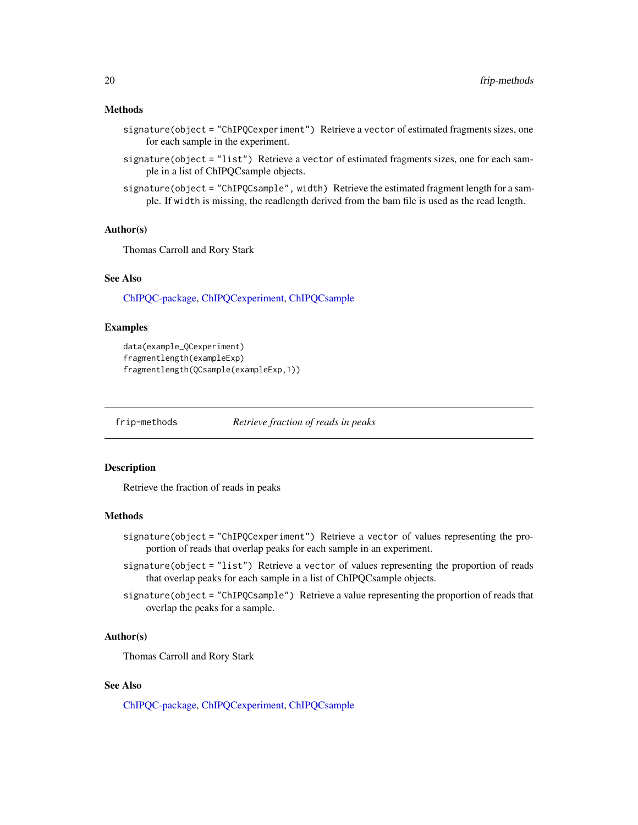# <span id="page-19-0"></span>Methods

- signature(object = "ChIPQCexperiment") Retrieve a vector of estimated fragments sizes, one for each sample in the experiment.
- signature(object = "list") Retrieve a vector of estimated fragments sizes, one for each sample in a list of ChIPQCsample objects.
- signature(object = "ChIPQCsample", width) Retrieve the estimated fragment length for a sample. If width is missing, the readlength derived from the bam file is used as the read length.

# Author(s)

Thomas Carroll and Rory Stark

#### See Also

[ChIPQC-package,](#page-2-1) [ChIPQCexperiment,](#page-8-1) [ChIPQCsample](#page-11-1)

#### Examples

```
data(example_QCexperiment)
fragmentlength(exampleExp)
fragmentlength(QCsample(exampleExp,1))
```
frip-methods *Retrieve fraction of reads in peaks*

# <span id="page-19-1"></span>Description

Retrieve the fraction of reads in peaks

#### Methods

- signature(object = "ChIPQCexperiment") Retrieve a vector of values representing the proportion of reads that overlap peaks for each sample in an experiment.
- signature(object = "list") Retrieve a vector of values representing the proportion of reads that overlap peaks for each sample in a list of ChIPQCsample objects.
- signature(object = "ChIPQCsample") Retrieve a value representing the proportion of reads that overlap the peaks for a sample.

#### Author(s)

Thomas Carroll and Rory Stark

# See Also

[ChIPQC-package,](#page-2-1) [ChIPQCexperiment,](#page-8-1) [ChIPQCsample](#page-11-1)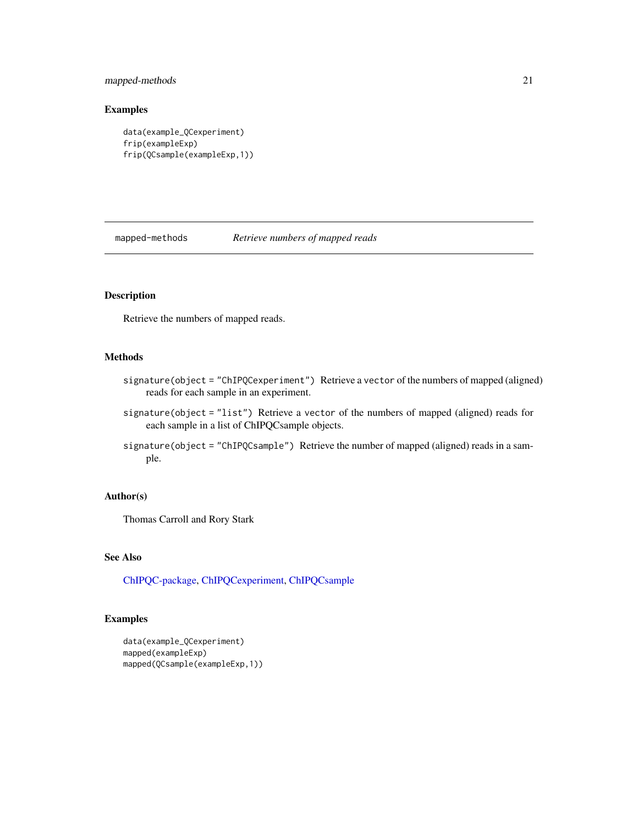# <span id="page-20-0"></span>mapped-methods 21

# Examples

```
data(example_QCexperiment)
frip(exampleExp)
frip(QCsample(exampleExp,1))
```
mapped-methods *Retrieve numbers of mapped reads*

# <span id="page-20-1"></span>Description

Retrieve the numbers of mapped reads.

# Methods

- signature(object = "ChIPQCexperiment") Retrieve a vector of the numbers of mapped (aligned) reads for each sample in an experiment.
- signature(object = "list") Retrieve a vector of the numbers of mapped (aligned) reads for each sample in a list of ChIPQCsample objects.
- signature(object = "ChIPQCsample") Retrieve the number of mapped (aligned) reads in a sample.

#### Author(s)

Thomas Carroll and Rory Stark

# See Also

[ChIPQC-package,](#page-2-1) [ChIPQCexperiment,](#page-8-1) [ChIPQCsample](#page-11-1)

```
data(example_QCexperiment)
mapped(exampleExp)
mapped(QCsample(exampleExp,1))
```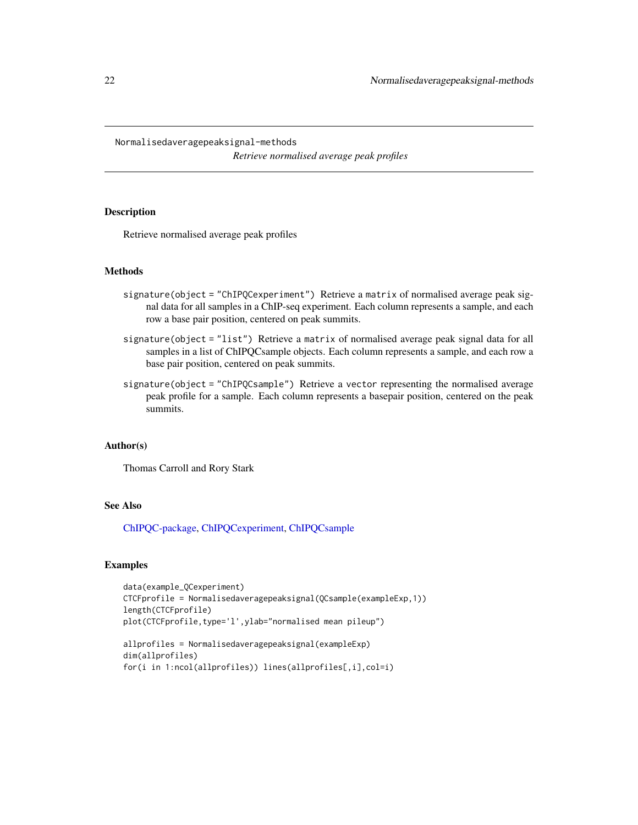<span id="page-21-0"></span>Normalisedaveragepeaksignal-methods

*Retrieve normalised average peak profiles*

# <span id="page-21-1"></span>Description

Retrieve normalised average peak profiles

# Methods

- signature(object = "ChIPQCexperiment") Retrieve a matrix of normalised average peak signal data for all samples in a ChIP-seq experiment. Each column represents a sample, and each row a base pair position, centered on peak summits.
- signature(object = "list") Retrieve a matrix of normalised average peak signal data for all samples in a list of ChIPQCsample objects. Each column represents a sample, and each row a base pair position, centered on peak summits.
- signature(object = "ChIPQCsample") Retrieve a vector representing the normalised average peak profile for a sample. Each column represents a basepair position, centered on the peak summits.

# Author(s)

Thomas Carroll and Rory Stark

# See Also

[ChIPQC-package,](#page-2-1) [ChIPQCexperiment,](#page-8-1) [ChIPQCsample](#page-11-1)

```
data(example_QCexperiment)
CTCFprofile = Normalisedaveragepeaksignal(QCsample(exampleExp,1))
length(CTCFprofile)
plot(CTCFprofile,type='l',ylab="normalised mean pileup")
```

```
allprofiles = Normalisedaveragepeaksignal(exampleExp)
dim(allprofiles)
for(i in 1:ncol(allprofiles)) lines(allprofiles[,i],col=i)
```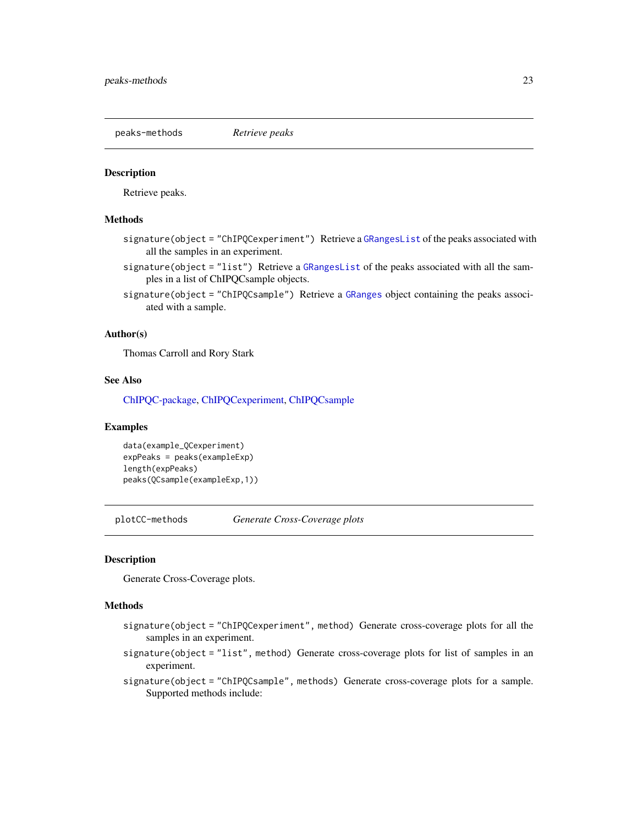<span id="page-22-0"></span>peaks-methods *Retrieve peaks*

#### <span id="page-22-1"></span>**Description**

Retrieve peaks.

#### Methods

- signature(object = "ChIPQCexperiment") Retrieve a [GRangesList](#page-0-0) of the peaks associated with all the samples in an experiment.
- signature(object = "list") Retrieve a [GRangesList](#page-0-0) of the peaks associated with all the samples in a list of ChIPQCsample objects.
- signature(object = "ChIPQCsample") Retrieve a [GRanges](#page-0-0) object containing the peaks associated with a sample.

### Author(s)

Thomas Carroll and Rory Stark

# See Also

[ChIPQC-package,](#page-2-1) [ChIPQCexperiment,](#page-8-1) [ChIPQCsample](#page-11-1)

# Examples

```
data(example_QCexperiment)
expPeaks = peaks(exampleExp)
length(expPeaks)
peaks(QCsample(exampleExp,1))
```
plotCC-methods *Generate Cross-Coverage plots*

#### <span id="page-22-2"></span>Description

Generate Cross-Coverage plots.

#### Methods

- signature(object = "ChIPQCexperiment", method) Generate cross-coverage plots for all the samples in an experiment.
- signature(object = "list", method) Generate cross-coverage plots for list of samples in an experiment.
- signature(object = "ChIPQCsample", methods) Generate cross-coverage plots for a sample. Supported methods include: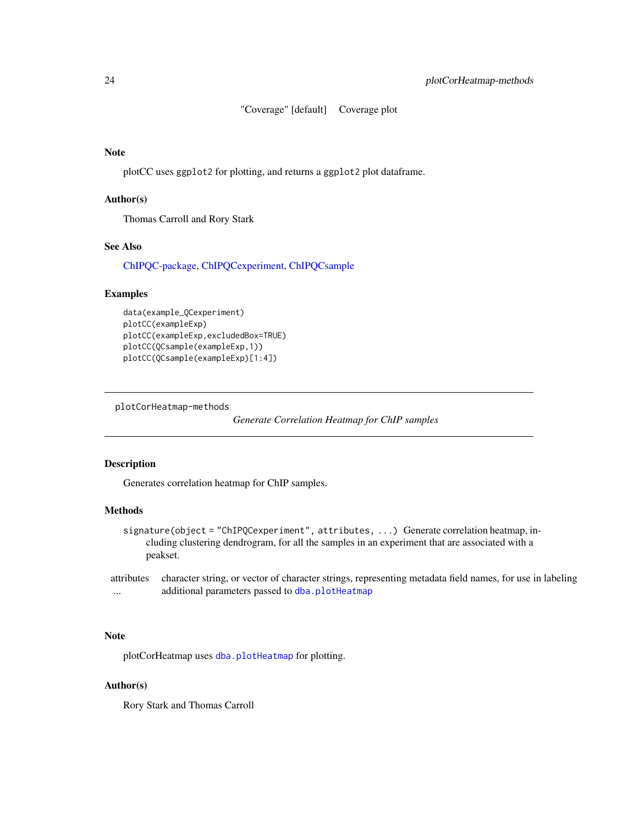"Coverage" [default] Coverage plot

# <span id="page-23-0"></span>Note

plotCC uses ggplot2 for plotting, and returns a ggplot2 plot dataframe.

#### Author(s)

Thomas Carroll and Rory Stark

# See Also

[ChIPQC-package,](#page-2-1) [ChIPQCexperiment,](#page-8-1) [ChIPQCsample](#page-11-1)

# Examples

```
data(example_QCexperiment)
plotCC(exampleExp)
plotCC(exampleExp,excludedBox=TRUE)
plotCC(QCsample(exampleExp,1))
plotCC(QCsample(exampleExp)[1:4])
```
plotCorHeatmap-methods

*Generate Correlation Heatmap for ChIP samples*

# <span id="page-23-1"></span>Description

Generates correlation heatmap for ChIP samples.

# Methods

signature(object = "ChIPQCexperiment", attributes, ...) Generate correlation heatmap, including clustering dendrogram, for all the samples in an experiment that are associated with a peakset.

attributes character string, or vector of character strings, representing metadata field names, for use in labeling ... additional parameters passed to [dba.plotHeatmap](#page-0-0)

# Note

plotCorHeatmap uses [dba.plotHeatmap](#page-0-0) for plotting.

# Author(s)

Rory Stark and Thomas Carroll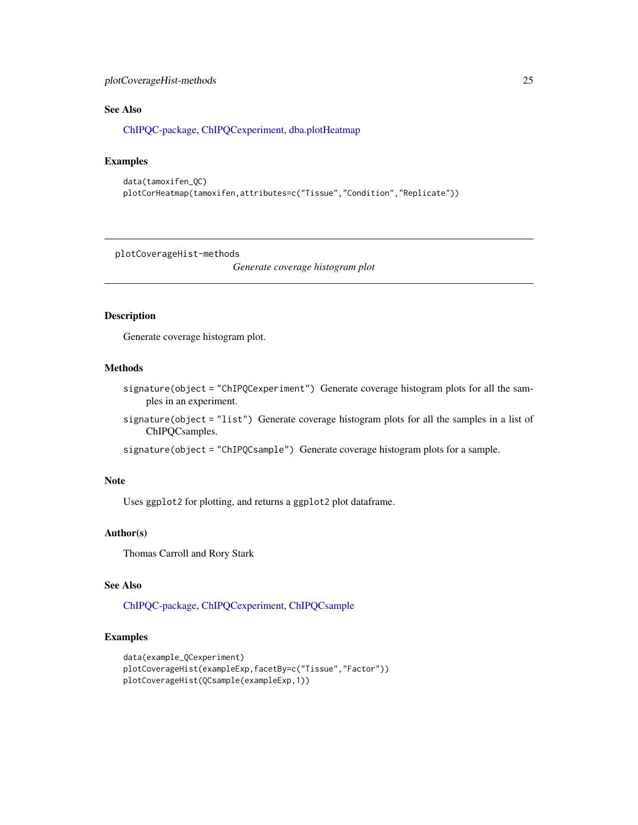# <span id="page-24-0"></span>plotCoverageHist-methods 25

# See Also

[ChIPQC-package,](#page-2-1) [ChIPQCexperiment,](#page-8-1) [dba.plotHeatmap](#page-0-0)

# Examples

```
data(tamoxifen_QC)
plotCorHeatmap(tamoxifen,attributes=c("Tissue","Condition","Replicate"))
```
plotCoverageHist-methods

*Generate coverage histogram plot*

# <span id="page-24-1"></span>Description

Generate coverage histogram plot.

# Methods

- signature(object = "ChIPQCexperiment") Generate coverage histogram plots for all the samples in an experiment.
- signature(object = "list") Generate coverage histogram plots for all the samples in a list of ChIPQCsamples.

signature(object = "ChIPQCsample") Generate coverage histogram plots for a sample.

# Note

Uses ggplot2 for plotting, and returns a ggplot2 plot dataframe.

#### Author(s)

Thomas Carroll and Rory Stark

# See Also

[ChIPQC-package,](#page-2-1) [ChIPQCexperiment,](#page-8-1) [ChIPQCsample](#page-11-1)

```
data(example_QCexperiment)
plotCoverageHist(exampleExp,facetBy=c("Tissue","Factor"))
plotCoverageHist(QCsample(exampleExp,1))
```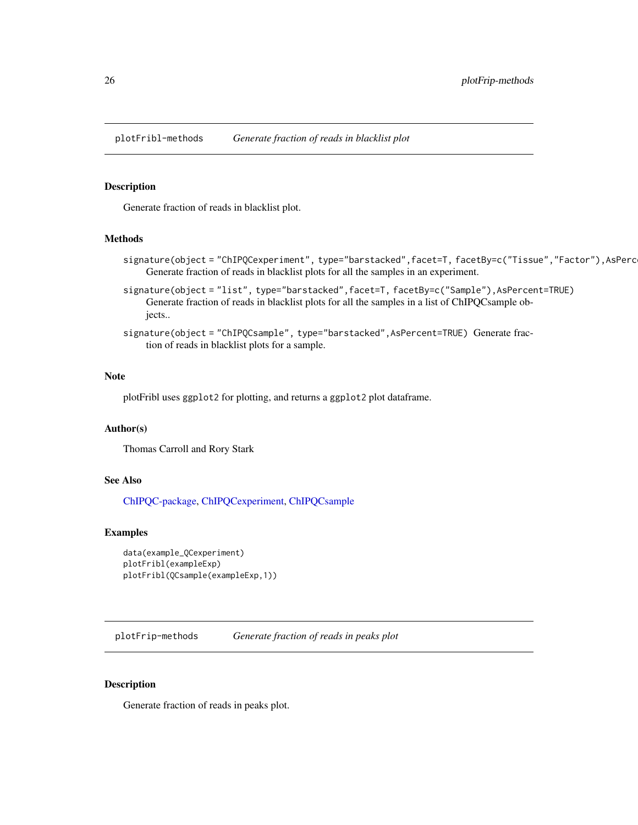<span id="page-25-0"></span>plotFribl-methods *Generate fraction of reads in blacklist plot*

#### <span id="page-25-1"></span>Description

Generate fraction of reads in blacklist plot.

#### Methods

- signature(object = "ChIPQCexperiment", type="barstacked",facet=T, facetBy=c("Tissue","Factor"),AsPerc Generate fraction of reads in blacklist plots for all the samples in an experiment.
- signature(object = "list", type="barstacked",facet=T, facetBy=c("Sample"),AsPercent=TRUE) Generate fraction of reads in blacklist plots for all the samples in a list of ChIPQCsample objects..
- signature(object = "ChIPQCsample", type="barstacked", AsPercent=TRUE) Generate fraction of reads in blacklist plots for a sample.

#### Note

plotFribl uses ggplot2 for plotting, and returns a ggplot2 plot dataframe.

#### Author(s)

Thomas Carroll and Rory Stark

# See Also

[ChIPQC-package,](#page-2-1) [ChIPQCexperiment,](#page-8-1) [ChIPQCsample](#page-11-1)

# Examples

```
data(example_QCexperiment)
plotFribl(exampleExp)
plotFribl(QCsample(exampleExp,1))
```
plotFrip-methods *Generate fraction of reads in peaks plot*

#### Description

Generate fraction of reads in peaks plot.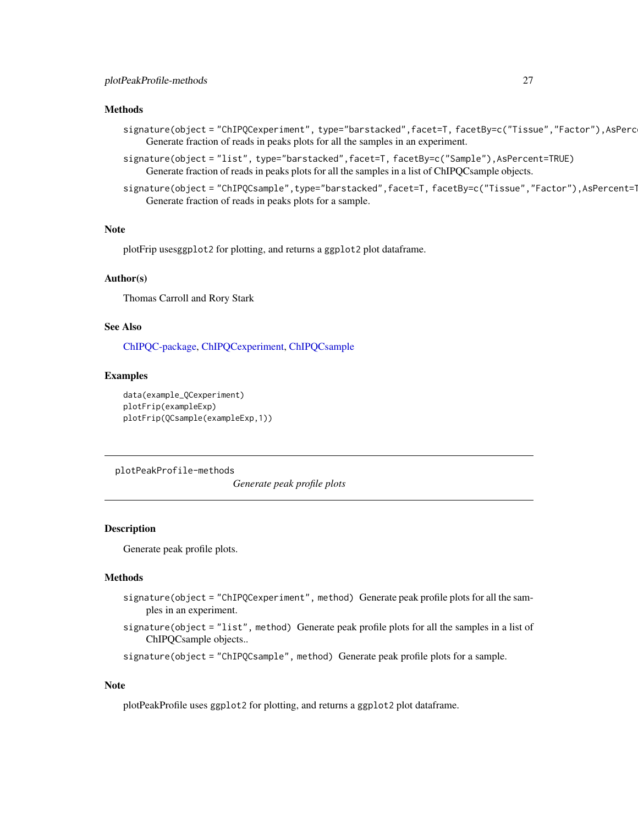#### <span id="page-26-0"></span>Methods

- signature(object = "ChIPQCexperiment", type="barstacked",facet=T, facetBy=c("Tissue","Factor"),AsPerc Generate fraction of reads in peaks plots for all the samples in an experiment.
- signature(object = "list", type="barstacked",facet=T, facetBy=c("Sample"),AsPercent=TRUE) Generate fraction of reads in peaks plots for all the samples in a list of ChIPQCsample objects.
- signature(object = "ChIPQCsample",type="barstacked",facet=T,facetBy=c("Tissue","Factor"),AsPercent=1 Generate fraction of reads in peaks plots for a sample.

# Note

plotFrip usesggplot2 for plotting, and returns a ggplot2 plot dataframe.

#### Author(s)

Thomas Carroll and Rory Stark

#### See Also

[ChIPQC-package,](#page-2-1) [ChIPQCexperiment,](#page-8-1) [ChIPQCsample](#page-11-1)

#### Examples

```
data(example_QCexperiment)
plotFrip(exampleExp)
plotFrip(QCsample(exampleExp,1))
```
plotPeakProfile-methods

*Generate peak profile plots*

#### <span id="page-26-1"></span>Description

Generate peak profile plots.

#### Methods

- signature(object = "ChIPQCexperiment", method) Generate peak profile plots for all the samples in an experiment.
- signature(object = "list", method) Generate peak profile plots for all the samples in a list of ChIPQCsample objects..

signature(object = "ChIPQCsample", method) Generate peak profile plots for a sample.

#### Note

plotPeakProfile uses ggplot2 for plotting, and returns a ggplot2 plot dataframe.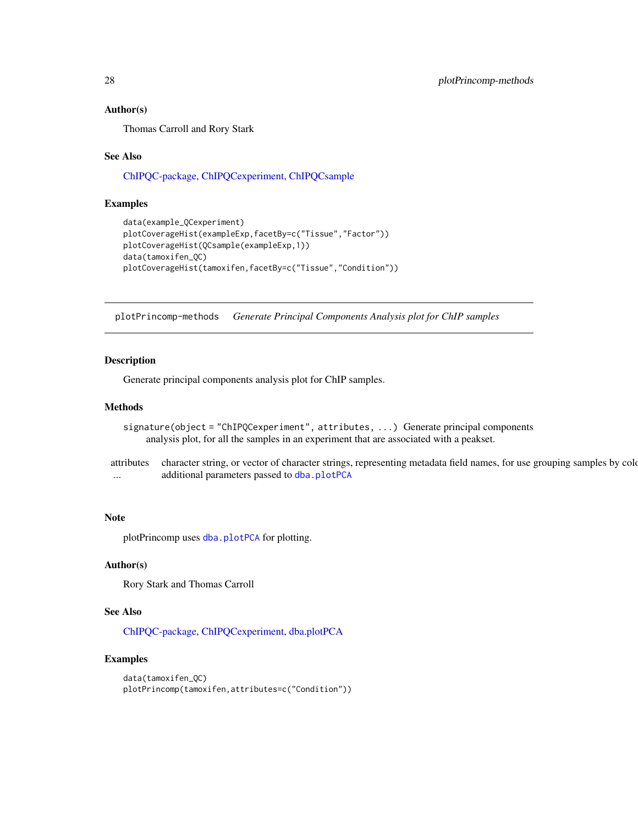#### Author(s)

Thomas Carroll and Rory Stark

#### See Also

[ChIPQC-package,](#page-2-1) [ChIPQCexperiment,](#page-8-1) [ChIPQCsample](#page-11-1)

#### Examples

```
data(example_QCexperiment)
plotCoverageHist(exampleExp,facetBy=c("Tissue","Factor"))
plotCoverageHist(QCsample(exampleExp,1))
data(tamoxifen_QC)
plotCoverageHist(tamoxifen,facetBy=c("Tissue","Condition"))
```
plotPrincomp-methods *Generate Principal Components Analysis plot for ChIP samples*

# <span id="page-27-1"></span>Description

Generate principal components analysis plot for ChIP samples.

#### Methods

- signature(object = "ChIPQCexperiment", attributes, ...) Generate principal components analysis plot, for all the samples in an experiment that are associated with a peakset.
- attributes character string, or vector of character strings, representing metadata field names, for use grouping samples by colo ... additional parameters passed to [dba.plotPCA](#page-0-0)

# Note

plotPrincomp uses [dba.plotPCA](#page-0-0) for plotting.

# Author(s)

Rory Stark and Thomas Carroll

# See Also

[ChIPQC-package,](#page-2-1) [ChIPQCexperiment,](#page-8-1) [dba.plotPCA](#page-0-0)

```
data(tamoxifen_QC)
plotPrincomp(tamoxifen,attributes=c("Condition"))
```
<span id="page-27-0"></span>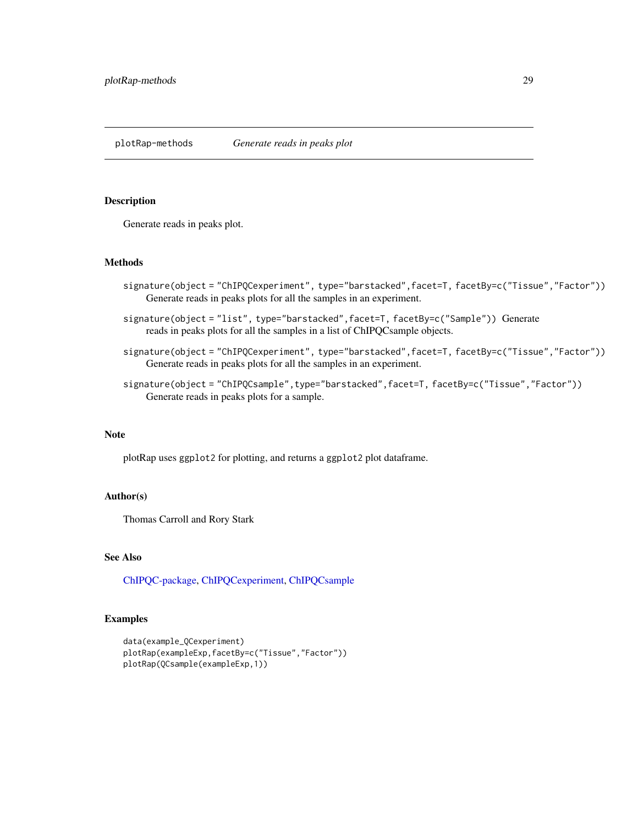<span id="page-28-0"></span>plotRap-methods *Generate reads in peaks plot*

# <span id="page-28-1"></span>Description

Generate reads in peaks plot.

# Methods

- signature(object = "ChIPQCexperiment", type="barstacked",facet=T, facetBy=c("Tissue","Factor")) Generate reads in peaks plots for all the samples in an experiment.
- signature(object = "list", type="barstacked",facet=T, facetBy=c("Sample")) Generate reads in peaks plots for all the samples in a list of ChIPQCsample objects.
- signature(object = "ChIPQCexperiment", type="barstacked",facet=T,facetBy=c("Tissue","Factor")) Generate reads in peaks plots for all the samples in an experiment.
- signature(object = "ChIPQCsample",type="barstacked",facet=T,facetBy=c("Tissue","Factor")) Generate reads in peaks plots for a sample.

# Note

plotRap uses ggplot2 for plotting, and returns a ggplot2 plot dataframe.

# Author(s)

Thomas Carroll and Rory Stark

# See Also

[ChIPQC-package,](#page-2-1) [ChIPQCexperiment,](#page-8-1) [ChIPQCsample](#page-11-1)

```
data(example_QCexperiment)
plotRap(exampleExp,facetBy=c("Tissue","Factor"))
plotRap(QCsample(exampleExp,1))
```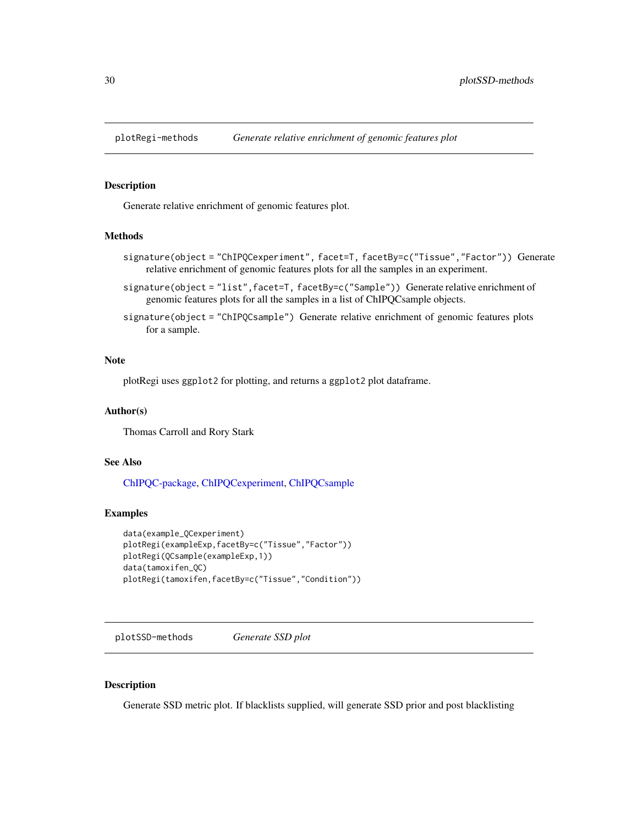<span id="page-29-0"></span>

#### <span id="page-29-1"></span>Description

Generate relative enrichment of genomic features plot.

#### Methods

- signature(object = "ChIPQCexperiment", facet=T, facetBy=c("Tissue","Factor")) Generate relative enrichment of genomic features plots for all the samples in an experiment.
- signature(object = "list", facet=T, facetBy=c("Sample")) Generate relative enrichment of genomic features plots for all the samples in a list of ChIPQCsample objects.
- signature(object = "ChIPQCsample") Generate relative enrichment of genomic features plots for a sample.

#### Note

plotRegi uses ggplot2 for plotting, and returns a ggplot2 plot dataframe.

# Author(s)

Thomas Carroll and Rory Stark

#### See Also

[ChIPQC-package,](#page-2-1) [ChIPQCexperiment,](#page-8-1) [ChIPQCsample](#page-11-1)

#### Examples

```
data(example_QCexperiment)
plotRegi(exampleExp,facetBy=c("Tissue","Factor"))
plotRegi(QCsample(exampleExp,1))
data(tamoxifen_QC)
plotRegi(tamoxifen,facetBy=c("Tissue","Condition"))
```
plotSSD-methods *Generate SSD plot*

#### Description

Generate SSD metric plot. If blacklists supplied, will generate SSD prior and post blacklisting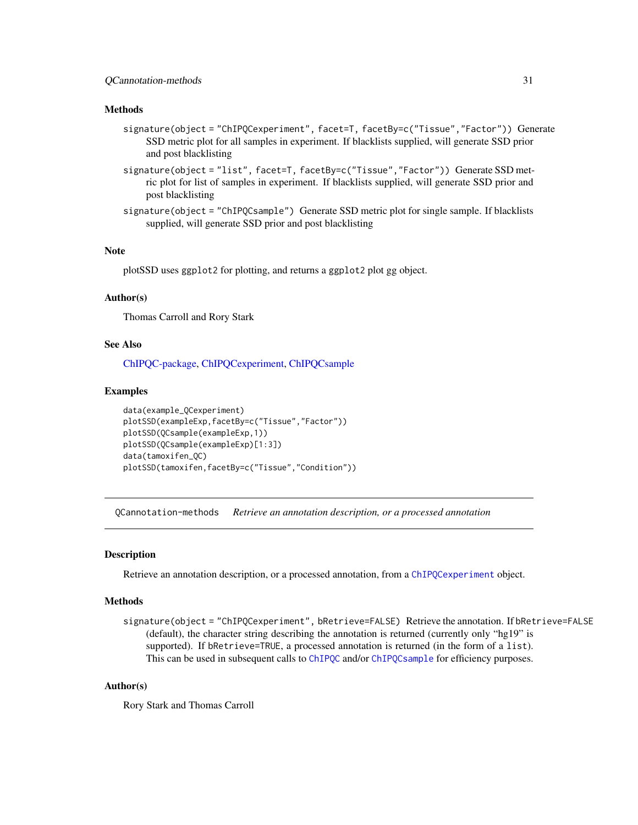#### <span id="page-30-0"></span>Methods

- signature(object = "ChIPQCexperiment", facet=T, facetBy=c("Tissue","Factor")) Generate SSD metric plot for all samples in experiment. If blacklists supplied, will generate SSD prior and post blacklisting
- signature(object = "list", facet=T, facetBy=c("Tissue", "Factor")) Generate SSD metric plot for list of samples in experiment. If blacklists supplied, will generate SSD prior and post blacklisting
- signature(object = "ChIPQCsample") Generate SSD metric plot for single sample. If blacklists supplied, will generate SSD prior and post blacklisting

#### **Note**

plotSSD uses ggplot2 for plotting, and returns a ggplot2 plot gg object.

# Author(s)

Thomas Carroll and Rory Stark

#### See Also

[ChIPQC-package,](#page-2-1) [ChIPQCexperiment,](#page-8-1) [ChIPQCsample](#page-11-1)

#### Examples

```
data(example_QCexperiment)
plotSSD(exampleExp,facetBy=c("Tissue","Factor"))
plotSSD(QCsample(exampleExp,1))
plotSSD(QCsample(exampleExp)[1:3])
data(tamoxifen_QC)
plotSSD(tamoxifen,facetBy=c("Tissue","Condition"))
```
QCannotation-methods *Retrieve an annotation description, or a processed annotation*

# <span id="page-30-1"></span>Description

Retrieve an annotation description, or a processed annotation, from a [ChIPQCexperiment](#page-8-1) object.

# Methods

signature(object = "ChIPQCexperiment", bRetrieve=FALSE) Retrieve the annotation. If bRetrieve=FALSE (default), the character string describing the annotation is returned (currently only "hg19" is supported). If bRetrieve=TRUE, a processed annotation is returned (in the form of a list). This can be used in subsequent calls to [ChIPQC](#page-4-1) and/or ChIPQC sample for efficiency purposes.

# Author(s)

Rory Stark and Thomas Carroll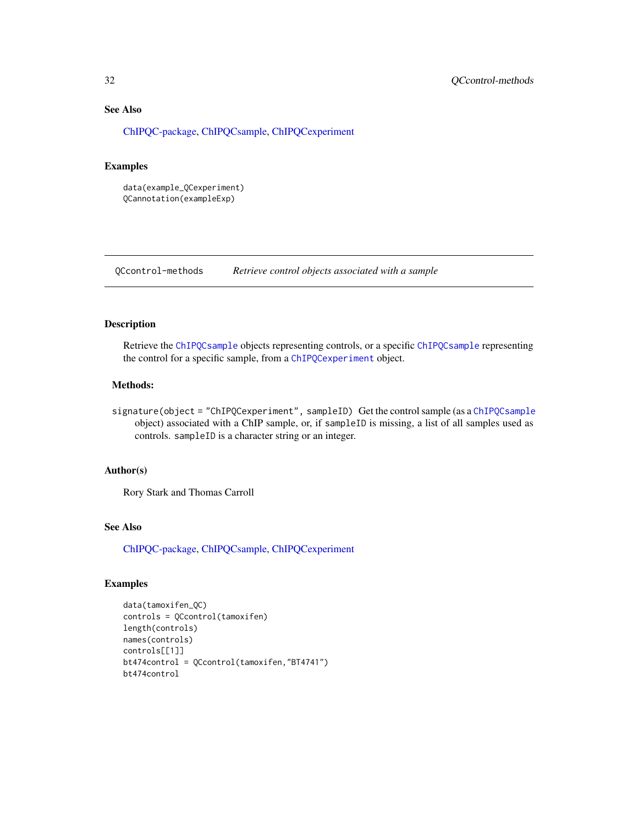# See Also

[ChIPQC-package,](#page-2-1) [ChIPQCsample,](#page-11-1) [ChIPQCexperiment](#page-8-1)

# Examples

```
data(example_QCexperiment)
QCannotation(exampleExp)
```
QCcontrol-methods *Retrieve control objects associated with a sample*

#### <span id="page-31-1"></span>Description

Retrieve the [ChIPQCsample](#page-11-1) objects representing controls, or a specific ChIPQCsample representing the control for a specific sample, from a [ChIPQCexperiment](#page-8-1) object.

# Methods:

signature(object = "ChIPQCexperiment", sampleID) Get the control sample (as a [ChIPQCsample](#page-11-1) object) associated with a ChIP sample, or, if sampleID is missing, a list of all samples used as controls. sampleID is a character string or an integer.

# Author(s)

Rory Stark and Thomas Carroll

# See Also

[ChIPQC-package,](#page-2-1) [ChIPQCsample,](#page-11-1) [ChIPQCexperiment](#page-8-1)

```
data(tamoxifen_QC)
controls = QCcontrol(tamoxifen)
length(controls)
names(controls)
controls[[1]]
bt474control = QCcontrol(tamoxifen,"BT4741")
bt474control
```
<span id="page-31-0"></span>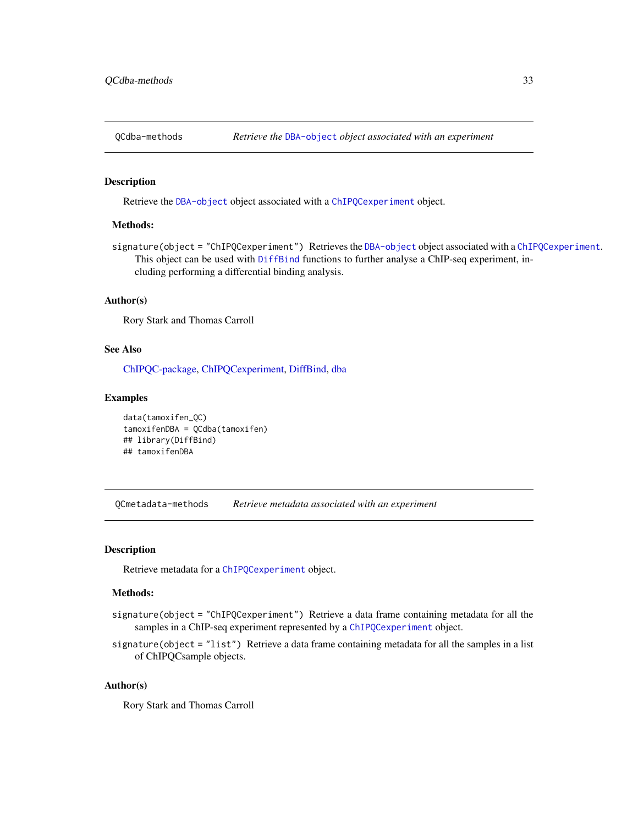<span id="page-32-0"></span>

# <span id="page-32-2"></span>Description

Retrieve the [DBA-object](#page-0-0) object associated with a [ChIPQCexperiment](#page-8-1) object.

#### Methods:

signature(object = "ChIPQCexperiment") Retrieves the [DBA-object](#page-0-0) object associated with a [ChIPQCexperiment](#page-8-1). This object can be used with [DiffBind](#page-0-0) functions to further analyse a ChIP-seq experiment, including performing a differential binding analysis.

#### Author(s)

Rory Stark and Thomas Carroll

# See Also

[ChIPQC-package,](#page-2-1) [ChIPQCexperiment,](#page-8-1) [DiffBind,](#page-0-0) [dba](#page-0-0)

#### Examples

```
data(tamoxifen_QC)
tamoxifenDBA = QCdba(tamoxifen)
## library(DiffBind)
## tamoxifenDBA
```
QCmetadata-methods *Retrieve metadata associated with an experiment*

#### <span id="page-32-1"></span>Description

Retrieve metadata for a [ChIPQCexperiment](#page-8-1) object.

### Methods:

- signature(object = "ChIPQCexperiment") Retrieve a data frame containing metadata for all the samples in a ChIP-seq experiment represented by a [ChIPQCexperiment](#page-8-1) object.
- signature(object = "list") Retrieve a data frame containing metadata for all the samples in a list of ChIPQCsample objects.

#### Author(s)

Rory Stark and Thomas Carroll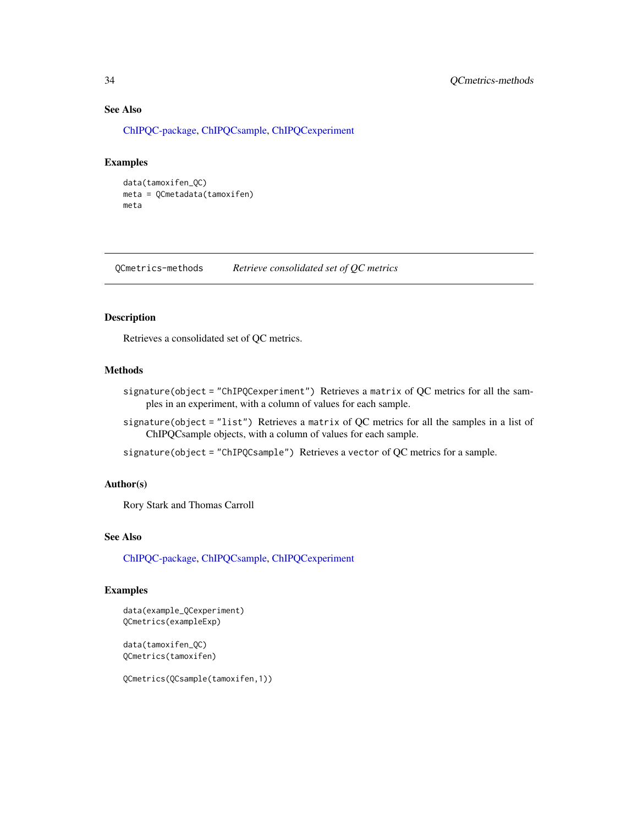# See Also

[ChIPQC-package,](#page-2-1) [ChIPQCsample,](#page-11-1) [ChIPQCexperiment](#page-8-1)

#### Examples

```
data(tamoxifen_QC)
meta = QCmetadata(tamoxifen)
meta
```
QCmetrics-methods *Retrieve consolidated set of QC metrics*

# <span id="page-33-1"></span>Description

Retrieves a consolidated set of QC metrics.

# Methods

- signature(object = "ChIPQCexperiment") Retrieves a matrix of QC metrics for all the samples in an experiment, with a column of values for each sample.
- signature(object = "list") Retrieves a matrix of QC metrics for all the samples in a list of ChIPQCsample objects, with a column of values for each sample.

signature(object = "ChIPQCsample") Retrieves a vector of QC metrics for a sample.

#### Author(s)

Rory Stark and Thomas Carroll

# See Also

[ChIPQC-package,](#page-2-1) [ChIPQCsample,](#page-11-1) [ChIPQCexperiment](#page-8-1)

# Examples

data(example\_QCexperiment) QCmetrics(exampleExp)

data(tamoxifen\_QC) QCmetrics(tamoxifen)

QCmetrics(QCsample(tamoxifen,1))

<span id="page-33-0"></span>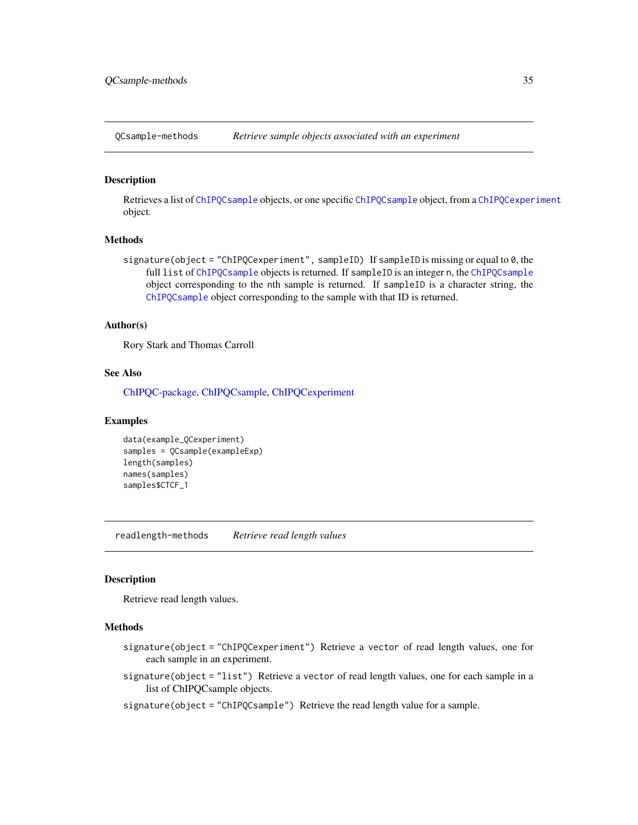<span id="page-34-0"></span>QCsample-methods *Retrieve sample objects associated with an experiment*

#### <span id="page-34-1"></span>**Description**

Retrieves a list of [ChIPQCsample](#page-11-1) objects, or one specific [ChIPQCsample](#page-11-1) object, from a [ChIPQCexperiment](#page-8-1) object.

# **Methods**

signature(object = "ChIPQCexperiment", sampleID) If sampleID is missing or equal to 0, the full list of [ChIPQCsample](#page-11-1) objects is returned. If sampleID is an integer n, the ChIPQCsample object corresponding to the nth sample is returned. If sampleID is a character string, the [ChIPQCsample](#page-11-1) object corresponding to the sample with that ID is returned.

# Author(s)

Rory Stark and Thomas Carroll

#### See Also

[ChIPQC-package,](#page-2-1) [ChIPQCsample,](#page-11-1) [ChIPQCexperiment](#page-8-1)

#### Examples

```
data(example_QCexperiment)
samples = QCsample(exampleExp)
length(samples)
names(samples)
samples$CTCF_1
```
readlength-methods *Retrieve read length values*

#### <span id="page-34-2"></span>Description

Retrieve read length values.

#### Methods

- signature(object = "ChIPQCexperiment") Retrieve a vector of read length values, one for each sample in an experiment.
- signature(object = "list") Retrieve a vector of read length values, one for each sample in a list of ChIPQCsample objects.
- signature(object = "ChIPQCsample") Retrieve the read length value for a sample.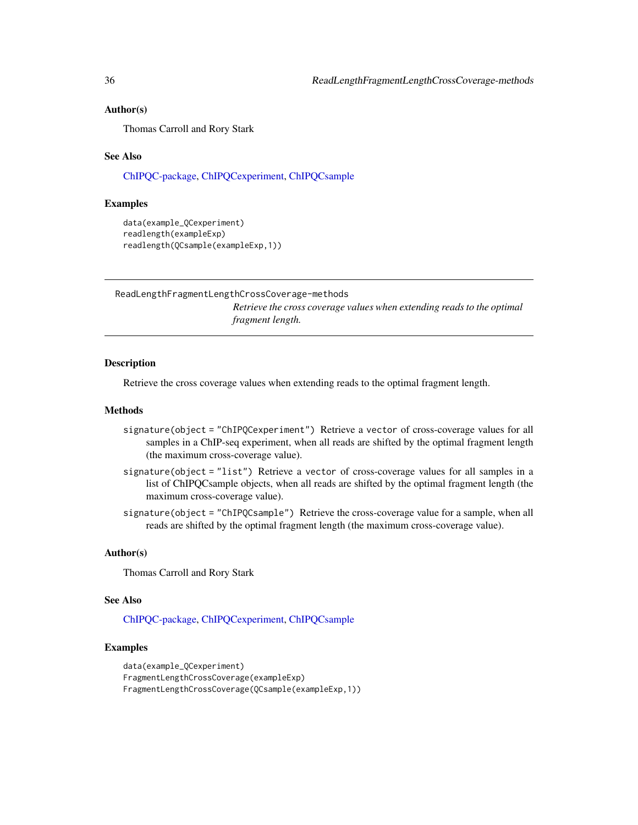#### <span id="page-35-0"></span>Author(s)

Thomas Carroll and Rory Stark

#### See Also

[ChIPQC-package,](#page-2-1) [ChIPQCexperiment,](#page-8-1) [ChIPQCsample](#page-11-1)

#### Examples

```
data(example_QCexperiment)
readlength(exampleExp)
readlength(QCsample(exampleExp,1))
```
ReadLengthFragmentLengthCrossCoverage-methods

*Retrieve the cross coverage values when extending reads to the optimal fragment length.*

#### <span id="page-35-1"></span>**Description**

Retrieve the cross coverage values when extending reads to the optimal fragment length.

#### Methods

- signature(object = "ChIPQCexperiment") Retrieve a vector of cross-coverage values for all samples in a ChIP-seq experiment, when all reads are shifted by the optimal fragment length (the maximum cross-coverage value).
- signature(object = "list") Retrieve a vector of cross-coverage values for all samples in a list of ChIPQCsample objects, when all reads are shifted by the optimal fragment length (the maximum cross-coverage value).
- signature(object = "ChIPQCsample") Retrieve the cross-coverage value for a sample, when all reads are shifted by the optimal fragment length (the maximum cross-coverage value).

#### Author(s)

Thomas Carroll and Rory Stark

# See Also

[ChIPQC-package,](#page-2-1) [ChIPQCexperiment,](#page-8-1) [ChIPQCsample](#page-11-1)

```
data(example_QCexperiment)
FragmentLengthCrossCoverage(exampleExp)
FragmentLengthCrossCoverage(QCsample(exampleExp,1))
```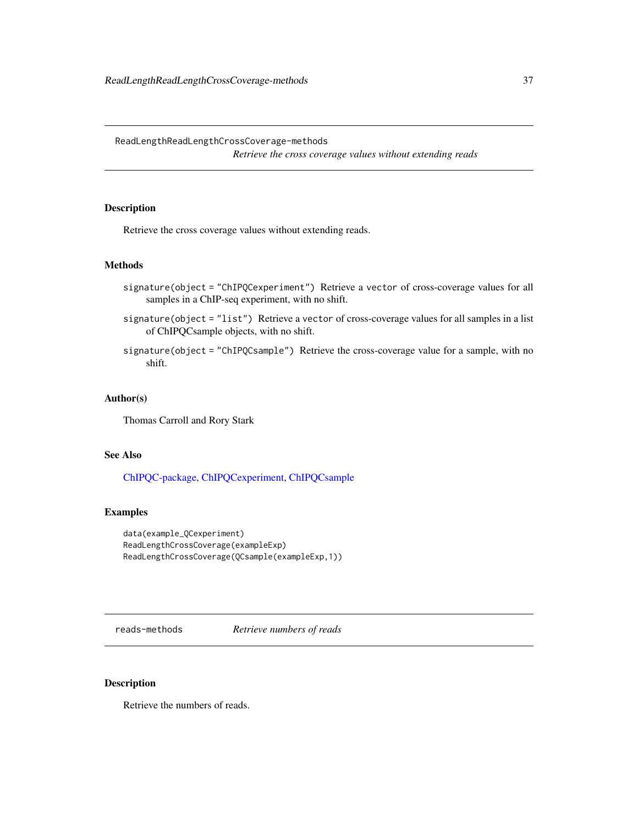<span id="page-36-0"></span>ReadLengthReadLengthCrossCoverage-methods *Retrieve the cross coverage values without extending reads*

# <span id="page-36-2"></span>Description

Retrieve the cross coverage values without extending reads.

#### Methods

- signature(object = "ChIPQCexperiment") Retrieve a vector of cross-coverage values for all samples in a ChIP-seq experiment, with no shift.
- signature(object = "list") Retrieve a vector of cross-coverage values for all samples in a list of ChIPQCsample objects, with no shift.
- signature(object = "ChIPQCsample") Retrieve the cross-coverage value for a sample, with no shift.

#### Author(s)

Thomas Carroll and Rory Stark

# See Also

[ChIPQC-package,](#page-2-1) [ChIPQCexperiment,](#page-8-1) [ChIPQCsample](#page-11-1)

# Examples

```
data(example_QCexperiment)
ReadLengthCrossCoverage(exampleExp)
ReadLengthCrossCoverage(QCsample(exampleExp,1))
```
reads-methods *Retrieve numbers of reads*

# <span id="page-36-1"></span>Description

Retrieve the numbers of reads.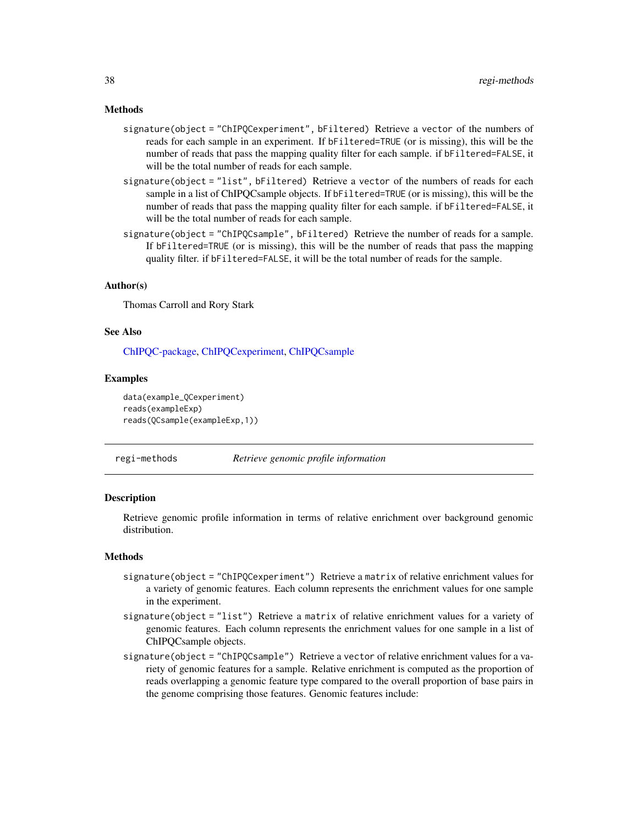#### <span id="page-37-0"></span>Methods

- signature(object = "ChIPQCexperiment", bFiltered) Retrieve a vector of the numbers of reads for each sample in an experiment. If bFiltered=TRUE (or is missing), this will be the number of reads that pass the mapping quality filter for each sample. if bFiltered=FALSE, it will be the total number of reads for each sample.
- signature(object = "list", bFiltered) Retrieve a vector of the numbers of reads for each sample in a list of ChIPQCsample objects. If bFiltered=TRUE (or is missing), this will be the number of reads that pass the mapping quality filter for each sample. if bFiltered=FALSE, it will be the total number of reads for each sample.
- signature(object = "ChIPQCsample", bFiltered) Retrieve the number of reads for a sample. If bFiltered=TRUE (or is missing), this will be the number of reads that pass the mapping quality filter. if bFiltered=FALSE, it will be the total number of reads for the sample.

#### Author(s)

Thomas Carroll and Rory Stark

#### See Also

[ChIPQC-package,](#page-2-1) [ChIPQCexperiment,](#page-8-1) [ChIPQCsample](#page-11-1)

#### Examples

```
data(example_QCexperiment)
reads(exampleExp)
reads(QCsample(exampleExp,1))
```
regi-methods *Retrieve genomic profile information*

#### <span id="page-37-1"></span>**Description**

Retrieve genomic profile information in terms of relative enrichment over background genomic distribution.

# Methods

- signature(object = "ChIPQCexperiment") Retrieve a matrix of relative enrichment values for a variety of genomic features. Each column represents the enrichment values for one sample in the experiment.
- signature(object = "list") Retrieve a matrix of relative enrichment values for a variety of genomic features. Each column represents the enrichment values for one sample in a list of ChIPQCsample objects.
- signature(object = "ChIPQCsample") Retrieve a vector of relative enrichment values for a variety of genomic features for a sample. Relative enrichment is computed as the proportion of reads overlapping a genomic feature type compared to the overall proportion of base pairs in the genome comprising those features. Genomic features include: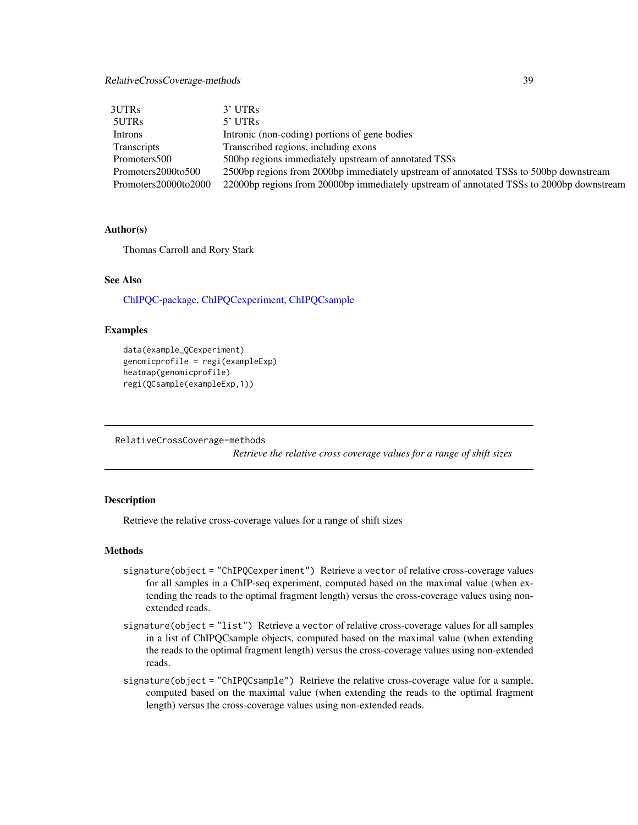# <span id="page-38-0"></span>RelativeCrossCoverage-methods 39

| 3UTRs                | 3' UTRs                                                                                  |
|----------------------|------------------------------------------------------------------------------------------|
| 5UTRs                | $5'$ UTRs                                                                                |
| Introns              | Intronic (non-coding) portions of gene bodies                                            |
| <b>Transcripts</b>   | Transcribed regions, including exons                                                     |
| Promoters500         | 500bp regions immediately upstream of annotated TSSs                                     |
| Promoters2000to500   | 2500bp regions from 2000bp immediately upstream of annotated TSSs to 500bp downstream    |
| Promoters20000to2000 | 22000bp regions from 20000bp immediately upstream of annotated TSSs to 2000bp downstream |

# Author(s)

Thomas Carroll and Rory Stark

# See Also

[ChIPQC-package,](#page-2-1) [ChIPQCexperiment,](#page-8-1) [ChIPQCsample](#page-11-1)

#### Examples

```
data(example_QCexperiment)
genomicprofile = regi(exampleExp)
heatmap(genomicprofile)
regi(QCsample(exampleExp,1))
```
RelativeCrossCoverage-methods

*Retrieve the relative cross coverage values for a range of shift sizes*

#### <span id="page-38-1"></span>Description

Retrieve the relative cross-coverage values for a range of shift sizes

# **Methods**

- signature(object = "ChIPQCexperiment") Retrieve a vector of relative cross-coverage values for all samples in a ChIP-seq experiment, computed based on the maximal value (when extending the reads to the optimal fragment length) versus the cross-coverage values using nonextended reads.
- signature(object = "list") Retrieve a vector of relative cross-coverage values for all samples in a list of ChIPQCsample objects, computed based on the maximal value (when extending the reads to the optimal fragment length) versus the cross-coverage values using non-extended reads.
- signature(object = "ChIPQCsample") Retrieve the relative cross-coverage value for a sample, computed based on the maximal value (when extending the reads to the optimal fragment length) versus the cross-coverage values using non-extended reads.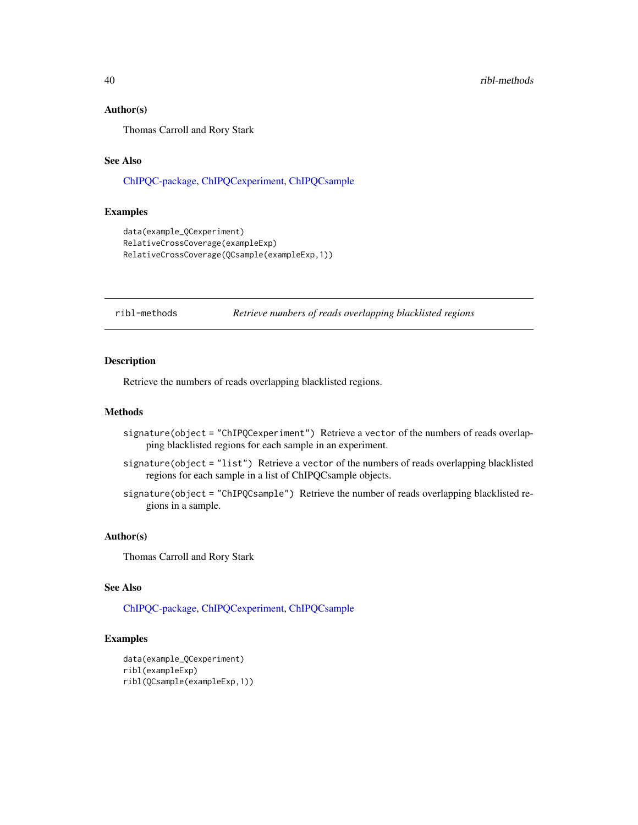#### Author(s)

Thomas Carroll and Rory Stark

# See Also

[ChIPQC-package,](#page-2-1) [ChIPQCexperiment,](#page-8-1) [ChIPQCsample](#page-11-1)

# Examples

```
data(example_QCexperiment)
RelativeCrossCoverage(exampleExp)
RelativeCrossCoverage(QCsample(exampleExp,1))
```
#### ribl-methods *Retrieve numbers of reads overlapping blacklisted regions*

# <span id="page-39-1"></span>Description

Retrieve the numbers of reads overlapping blacklisted regions.

#### Methods

- signature(object = "ChIPQCexperiment") Retrieve a vector of the numbers of reads overlapping blacklisted regions for each sample in an experiment.
- signature(object = "list") Retrieve a vector of the numbers of reads overlapping blacklisted regions for each sample in a list of ChIPQCsample objects.
- signature(object = "ChIPQCsample") Retrieve the number of reads overlapping blacklisted regions in a sample.

#### Author(s)

Thomas Carroll and Rory Stark

#### See Also

[ChIPQC-package,](#page-2-1) [ChIPQCexperiment,](#page-8-1) [ChIPQCsample](#page-11-1)

```
data(example_QCexperiment)
ribl(exampleExp)
ribl(QCsample(exampleExp,1))
```
<span id="page-39-0"></span>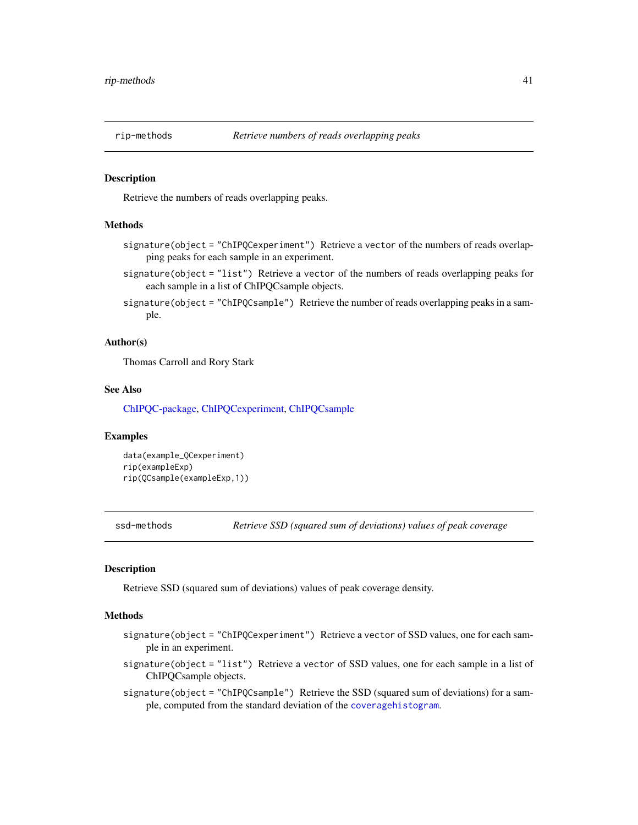<span id="page-40-0"></span>

#### <span id="page-40-1"></span>Description

Retrieve the numbers of reads overlapping peaks.

#### Methods

- signature(object = "ChIPQCexperiment") Retrieve a vector of the numbers of reads overlapping peaks for each sample in an experiment.
- signature(object = "list") Retrieve a vector of the numbers of reads overlapping peaks for each sample in a list of ChIPQCsample objects.
- signature(object = "ChIPQCsample") Retrieve the number of reads overlapping peaks in a sample.

#### Author(s)

Thomas Carroll and Rory Stark

#### See Also

[ChIPQC-package,](#page-2-1) [ChIPQCexperiment,](#page-8-1) [ChIPQCsample](#page-11-1)

#### Examples

```
data(example_QCexperiment)
rip(exampleExp)
rip(QCsample(exampleExp,1))
```
ssd-methods *Retrieve SSD (squared sum of deviations) values of peak coverage*

#### <span id="page-40-2"></span>**Description**

Retrieve SSD (squared sum of deviations) values of peak coverage density.

#### **Methods**

- signature(object = "ChIPQCexperiment") Retrieve a vector of SSD values, one for each sample in an experiment.
- signature(object = "list") Retrieve a vector of SSD values, one for each sample in a list of ChIPQCsample objects.
- signature(object = "ChIPQCsample") Retrieve the SSD (squared sum of deviations) for a sample, computed from the standard deviation of the [coveragehistogram](#page-14-1).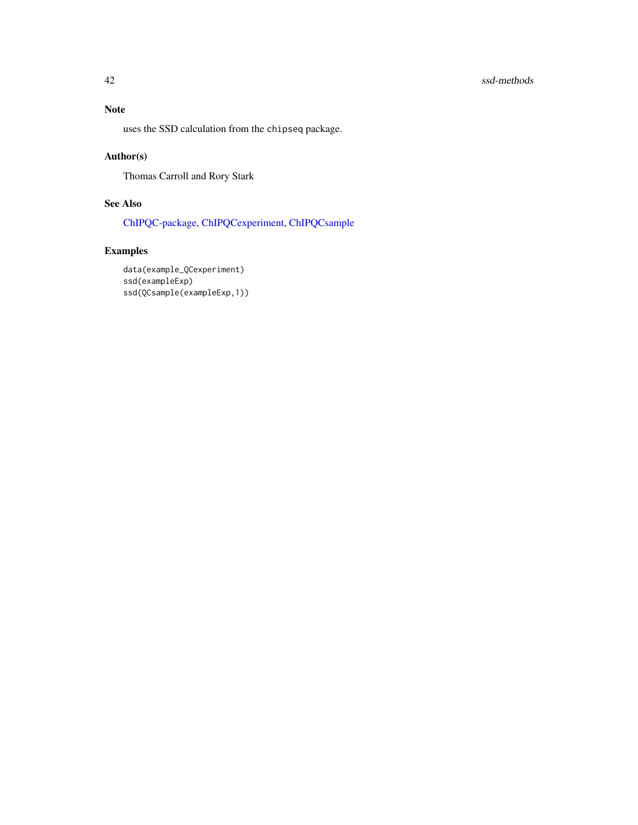# <span id="page-41-0"></span>42 ssd-methods

# Note

uses the SSD calculation from the chipseq package.

# Author(s)

Thomas Carroll and Rory Stark

# See Also

[ChIPQC-package,](#page-2-1) [ChIPQCexperiment,](#page-8-1) [ChIPQCsample](#page-11-1)

# Examples

data(example\_QCexperiment) ssd(exampleExp) ssd(QCsample(exampleExp,1))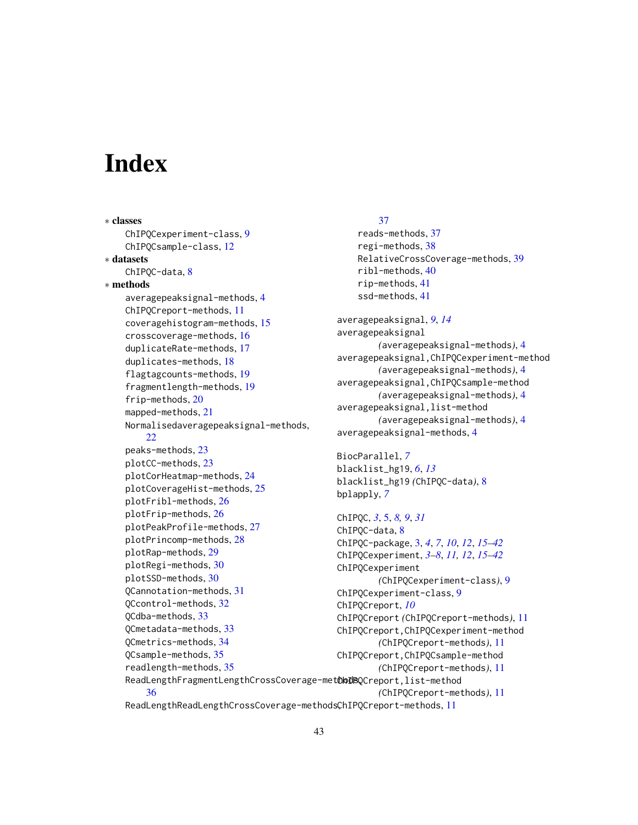# <span id="page-42-0"></span>**Index**

∗ classes ChIPQCexperiment-class, [9](#page-8-0) ChIPQCsample-class, [12](#page-11-0) ∗ datasets ChIPQC-data, [8](#page-7-0) ∗ methods averagepeaksignal-methods, [4](#page-3-0) ChIPQCreport-methods, [11](#page-10-0) coveragehistogram-methods, [15](#page-14-0) crosscoverage-methods, [16](#page-15-0) duplicateRate-methods, [17](#page-16-0) duplicates-methods, [18](#page-17-0) flagtagcounts-methods, [19](#page-18-0) fragmentlength-methods, [19](#page-18-0) frip-methods, [20](#page-19-0) mapped-methods, [21](#page-20-0) Normalisedaveragepeaksignal-methods, [22](#page-21-0) peaks-methods, [23](#page-22-0) plotCC-methods, [23](#page-22-0) plotCorHeatmap-methods, [24](#page-23-0) plotCoverageHist-methods, [25](#page-24-0) plotFribl-methods, [26](#page-25-0) plotFrip-methods, [26](#page-25-0) plotPeakProfile-methods, [27](#page-26-0) plotPrincomp-methods, [28](#page-27-0) plotRap-methods, [29](#page-28-0) plotRegi-methods, [30](#page-29-0) plotSSD-methods, [30](#page-29-0) QCannotation-methods, [31](#page-30-0) QCcontrol-methods, [32](#page-31-0) QCdba-methods, [33](#page-32-0) QCmetadata-methods, [33](#page-32-0) QCmetrics-methods, [34](#page-33-0) QCsample-methods, [35](#page-34-0) readlength-methods, [35](#page-34-0) ReadLengthFragmentLengthCrossCoverage-met<mark>CbDBQ</mark>Creport,list-method [36](#page-35-0)

#### [37](#page-36-0)

reads-methods, [37](#page-36-0) regi-methods, [38](#page-37-0) RelativeCrossCoverage-methods, [39](#page-38-0) ribl-methods, [40](#page-39-0) rip-methods, [41](#page-40-0) ssd-methods, [41](#page-40-0)

averagepeaksignal, *[9](#page-8-0)*, *[14](#page-13-0)* averagepeaksignal *(*averagepeaksignal-methods*)*, [4](#page-3-0) averagepeaksignal,ChIPQCexperiment-method *(*averagepeaksignal-methods*)*, [4](#page-3-0) averagepeaksignal,ChIPQCsample-method *(*averagepeaksignal-methods*)*, [4](#page-3-0) averagepeaksignal,list-method *(*averagepeaksignal-methods*)*, [4](#page-3-0) averagepeaksignal-methods, [4](#page-3-0)

BiocParallel, *[7](#page-6-0)* blacklist\_hg19, *[6](#page-5-0)*, *[13](#page-12-0)* blacklist\_hg19 *(*ChIPQC-data*)*, [8](#page-7-0) bplapply, *[7](#page-6-0)*

```
ChIPQC, 3, 5, 8, 9, 31
ChIPQC-data, 8
ChIPQC-package, 3, 4, 7, 10, 12, 15–42
ChIPQCexperiment, 3–8, 11, 12, 15–42
ChIPQCexperiment
        (ChIPQCexperiment-class), 9
ChIPQCexperiment-class, 9
ChIPQCreport, 10
ChIPQCreport (ChIPQCreport-methods), 11
ChIPQCreport,ChIPQCexperiment-method
        (ChIPQCreport-methods), 11
ChIPQCreport,ChIPQCsample-method
        (ChIPQCreport-methods), 11
        (ChIPQCreport-methods), 11
```
ReadLengthReadLengthCrossCoverage-methodsChIPQCreport-methods, [11](#page-10-0)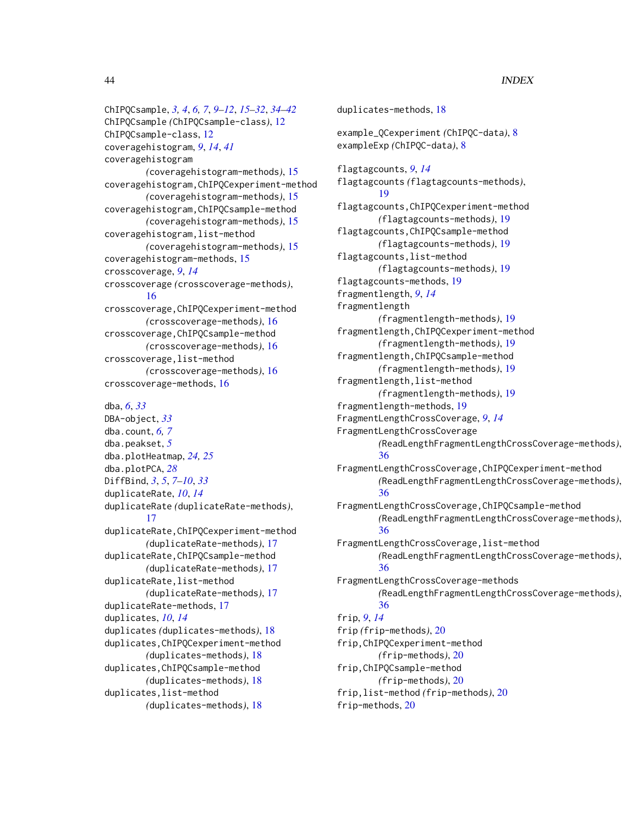ChIPQCsample, *[3,](#page-2-0) [4](#page-3-0)*, *[6,](#page-5-0) [7](#page-6-0)*, *[9–](#page-8-0)[12](#page-11-0)*, *[15–](#page-14-0)[32](#page-31-0)*, *[34–](#page-33-0)[42](#page-41-0)* ChIPQCsample *(*ChIPQCsample-class*)*, [12](#page-11-0) ChIPQCsample-class, [12](#page-11-0) coveragehistogram, *[9](#page-8-0)*, *[14](#page-13-0)*, *[41](#page-40-0)* coveragehistogram *(*coveragehistogram-methods*)*, [15](#page-14-0) coveragehistogram,ChIPQCexperiment-method *(*coveragehistogram-methods*)*, [15](#page-14-0) coveragehistogram,ChIPQCsample-method *(*coveragehistogram-methods*)*, [15](#page-14-0) coveragehistogram,list-method *(*coveragehistogram-methods*)*, [15](#page-14-0) coveragehistogram-methods, [15](#page-14-0) crosscoverage, *[9](#page-8-0)*, *[14](#page-13-0)* crosscoverage *(*crosscoverage-methods*)*,

[16](#page-15-0) crosscoverage,ChIPQCexperiment-method *(*crosscoverage-methods*)*, [16](#page-15-0) crosscoverage,ChIPQCsample-method *(*crosscoverage-methods*)*, [16](#page-15-0) crosscoverage,list-method *(*crosscoverage-methods*)*, [16](#page-15-0) crosscoverage-methods, [16](#page-15-0)

dba, *[6](#page-5-0)*, *[33](#page-32-0)* DBA-object, *[33](#page-32-0)* dba.count, *[6,](#page-5-0) [7](#page-6-0)* dba.peakset, *[5](#page-4-0)* dba.plotHeatmap, *[24,](#page-23-0) [25](#page-24-0)* dba.plotPCA, *[28](#page-27-0)* DiffBind, *[3](#page-2-0)*, *[5](#page-4-0)*, *[7](#page-6-0)[–10](#page-9-0)*, *[33](#page-32-0)* duplicateRate, *[10](#page-9-0)*, *[14](#page-13-0)* duplicateRate *(*duplicateRate-methods*)*, [17](#page-16-0) duplicateRate,ChIPQCexperiment-method *(*duplicateRate-methods*)*, [17](#page-16-0) duplicateRate,ChIPQCsample-method *(*duplicateRate-methods*)*, [17](#page-16-0) duplicateRate,list-method *(*duplicateRate-methods*)*, [17](#page-16-0) duplicateRate-methods, [17](#page-16-0) duplicates, *[10](#page-9-0)*, *[14](#page-13-0)* duplicates *(*duplicates-methods*)*, [18](#page-17-0) duplicates,ChIPQCexperiment-method *(*duplicates-methods*)*, [18](#page-17-0) duplicates,ChIPQCsample-method *(*duplicates-methods*)*, [18](#page-17-0) duplicates,list-method

*(*duplicates-methods*)*, [18](#page-17-0)

duplicates-methods, [18](#page-17-0) example\_QCexperiment *(*ChIPQC-data*)*, [8](#page-7-0) exampleExp *(*ChIPQC-data*)*, [8](#page-7-0) flagtagcounts, *[9](#page-8-0)*, *[14](#page-13-0)* flagtagcounts *(*flagtagcounts-methods*)*, [19](#page-18-0) flagtagcounts,ChIPQCexperiment-method *(*flagtagcounts-methods*)*, [19](#page-18-0) flagtagcounts,ChIPQCsample-method *(*flagtagcounts-methods*)*, [19](#page-18-0) flagtagcounts,list-method *(*flagtagcounts-methods*)*, [19](#page-18-0) flagtagcounts-methods, [19](#page-18-0) fragmentlength, *[9](#page-8-0)*, *[14](#page-13-0)* fragmentlength *(*fragmentlength-methods*)*, [19](#page-18-0) fragmentlength,ChIPQCexperiment-method *(*fragmentlength-methods*)*, [19](#page-18-0) fragmentlength,ChIPQCsample-method *(*fragmentlength-methods*)*, [19](#page-18-0) fragmentlength,list-method *(*fragmentlength-methods*)*, [19](#page-18-0) fragmentlength-methods, [19](#page-18-0) FragmentLengthCrossCoverage, *[9](#page-8-0)*, *[14](#page-13-0)* FragmentLengthCrossCoverage *(*ReadLengthFragmentLengthCrossCoverage-methods*)*, [36](#page-35-0) FragmentLengthCrossCoverage,ChIPQCexperiment-method *(*ReadLengthFragmentLengthCrossCoverage-methods*)*, [36](#page-35-0) FragmentLengthCrossCoverage,ChIPQCsample-method *(*ReadLengthFragmentLengthCrossCoverage-methods*)*, [36](#page-35-0) FragmentLengthCrossCoverage,list-method *(*ReadLengthFragmentLengthCrossCoverage-methods*)*, [36](#page-35-0) FragmentLengthCrossCoverage-methods *(*ReadLengthFragmentLengthCrossCoverage-methods*)*, [36](#page-35-0) frip, *[9](#page-8-0)*, *[14](#page-13-0)* frip *(*frip-methods*)*, [20](#page-19-0) frip,ChIPQCexperiment-method *(*frip-methods*)*, [20](#page-19-0) frip,ChIPQCsample-method *(*frip-methods*)*, [20](#page-19-0) frip,list-method *(*frip-methods*)*, [20](#page-19-0) frip-methods, [20](#page-19-0)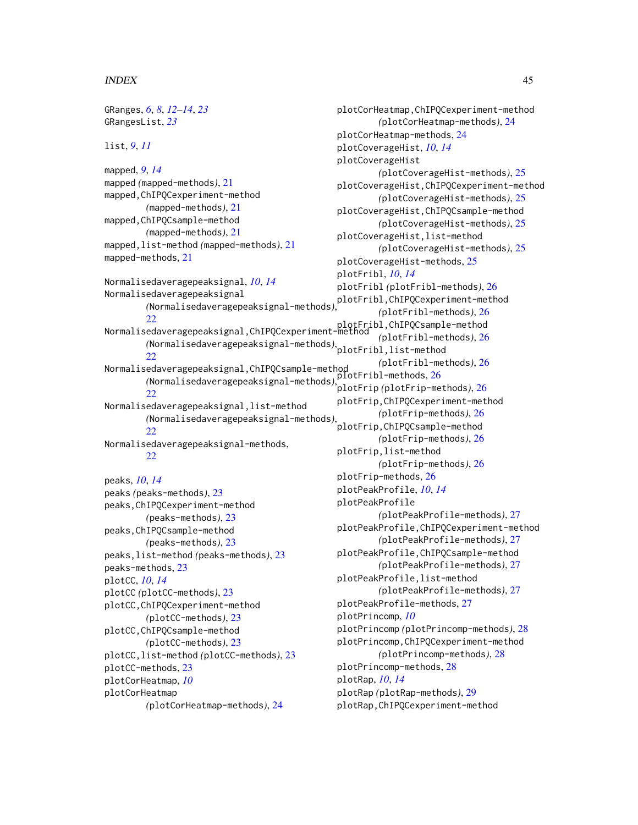#### INDEX 45

GRanges, *[6](#page-5-0)*, *[8](#page-7-0)*, *[12](#page-11-0)[–14](#page-13-0)*, *[23](#page-22-0)* GRangesList, *[23](#page-22-0)* list, *[9](#page-8-0)*, *[11](#page-10-0)* mapped, *[9](#page-8-0)*, *[14](#page-13-0)* mapped *(*mapped-methods*)*, [21](#page-20-0) mapped,ChIPQCexperiment-method *(*mapped-methods*)*, [21](#page-20-0) mapped,ChIPQCsample-method *(*mapped-methods*)*, [21](#page-20-0) mapped,list-method *(*mapped-methods*)*, [21](#page-20-0) mapped-methods, [21](#page-20-0) Normalisedaveragepeaksignal, *[10](#page-9-0)*, *[14](#page-13-0)* Normalisedaveragepeaksignal *(*Normalisedaveragepeaksignal-methods*)*, plotFribl,ChIPQCexperiment-method [22](#page-21-0) plotFribl,ChIPQCsample-method<br>Normalisedaveragepeaksignal,ChIPQCexperiment-method *(*Normalisedaveragepeaksignal-methods*)*, plotFribl,list-method [22](#page-21-0) Normalisedaveragepeaksignal,ChIPQCsample-method *(*Normalisedaveragepeaksignal-methods*)*, plotFribl-methods, [26](#page-25-0) [22](#page-21-0) Normalisedaveragepeaksignal,list-method *(*Normalisedaveragepeaksignal-methods*)*, [22](#page-21-0) Normalisedaveragepeaksignal-methods,  $22$ peaks, *[10](#page-9-0)*, *[14](#page-13-0)* peaks *(*peaks-methods*)*, [23](#page-22-0) peaks,ChIPQCexperiment-method *(*peaks-methods*)*, [23](#page-22-0) peaks,ChIPQCsample-method *(*peaks-methods*)*, [23](#page-22-0) peaks,list-method *(*peaks-methods*)*, [23](#page-22-0) peaks-methods, [23](#page-22-0) plotCC, *[10](#page-9-0)*, *[14](#page-13-0)* plotCC *(*plotCC-methods*)*, [23](#page-22-0) plotCC,ChIPQCexperiment-method *(*plotCC-methods*)*, [23](#page-22-0) plotCC,ChIPQCsample-method *(*plotCC-methods*)*, [23](#page-22-0) plotCC,list-method *(*plotCC-methods*)*, [23](#page-22-0) plotCC-methods, [23](#page-22-0) plotCorHeatmap, *[10](#page-9-0)* plotCorHeatmap *(*plotCorHeatmap-methods*)*, [24](#page-23-0)

plotCorHeatmap,ChIPQCexperiment-method *(*plotCorHeatmap-methods*)*, [24](#page-23-0) plotCorHeatmap-methods, [24](#page-23-0) plotCoverageHist, *[10](#page-9-0)*, *[14](#page-13-0)* plotCoverageHist *(*plotCoverageHist-methods*)*, [25](#page-24-0) plotCoverageHist,ChIPQCexperiment-method *(*plotCoverageHist-methods*)*, [25](#page-24-0) plotCoverageHist,ChIPQCsample-method *(*plotCoverageHist-methods*)*, [25](#page-24-0) plotCoverageHist,list-method *(*plotCoverageHist-methods*)*, [25](#page-24-0) plotCoverageHist-methods, [25](#page-24-0) plotFribl, *[10](#page-9-0)*, *[14](#page-13-0)* plotFribl *(*plotFribl-methods*)*, [26](#page-25-0) *(*plotFribl-methods*)*, [26](#page-25-0) *(*plotFribl-methods*)*, [26](#page-25-0) *(*plotFribl-methods*)*, [26](#page-25-0) plotFrip *(*plotFrip-methods*)*, [26](#page-25-0) plotFrip,ChIPQCexperiment-method *(*plotFrip-methods*)*, [26](#page-25-0) plotFrip,ChIPQCsample-method *(*plotFrip-methods*)*, [26](#page-25-0) plotFrip,list-method *(*plotFrip-methods*)*, [26](#page-25-0) plotFrip-methods, [26](#page-25-0) plotPeakProfile, *[10](#page-9-0)*, *[14](#page-13-0)* plotPeakProfile *(*plotPeakProfile-methods*)*, [27](#page-26-0) plotPeakProfile,ChIPQCexperiment-method *(*plotPeakProfile-methods*)*, [27](#page-26-0) plotPeakProfile,ChIPQCsample-method *(*plotPeakProfile-methods*)*, [27](#page-26-0) plotPeakProfile,list-method *(*plotPeakProfile-methods*)*, [27](#page-26-0) plotPeakProfile-methods, [27](#page-26-0) plotPrincomp, *[10](#page-9-0)* plotPrincomp *(*plotPrincomp-methods*)*, [28](#page-27-0) plotPrincomp,ChIPQCexperiment-method *(*plotPrincomp-methods*)*, [28](#page-27-0) plotPrincomp-methods, [28](#page-27-0) plotRap, *[10](#page-9-0)*, *[14](#page-13-0)* plotRap *(*plotRap-methods*)*, [29](#page-28-0) plotRap,ChIPQCexperiment-method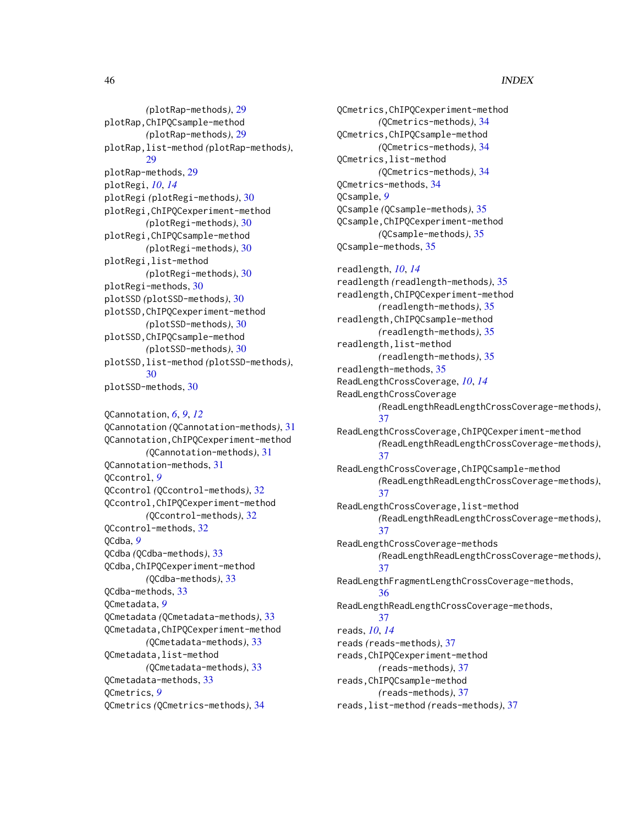# 46 INDEX

*(*plotRap-methods*)*, [29](#page-28-0) plotRap,ChIPQCsample-method *(*plotRap-methods*)*, [29](#page-28-0) plotRap,list-method *(*plotRap-methods*)*, [29](#page-28-0) plotRap-methods, [29](#page-28-0) plotRegi, *[10](#page-9-0)*, *[14](#page-13-0)* plotRegi *(*plotRegi-methods*)*, [30](#page-29-0) plotRegi,ChIPQCexperiment-method *(*plotRegi-methods*)*, [30](#page-29-0) plotRegi,ChIPQCsample-method *(*plotRegi-methods*)*, [30](#page-29-0) plotRegi,list-method *(*plotRegi-methods*)*, [30](#page-29-0) plotRegi-methods, [30](#page-29-0) plotSSD *(*plotSSD-methods*)*, [30](#page-29-0) plotSSD,ChIPQCexperiment-method *(*plotSSD-methods*)*, [30](#page-29-0) plotSSD,ChIPQCsample-method *(*plotSSD-methods*)*, [30](#page-29-0) plotSSD,list-method *(*plotSSD-methods*)*, [30](#page-29-0) plotSSD-methods, [30](#page-29-0)

QCannotation, *[6](#page-5-0)*, *[9](#page-8-0)*, *[12](#page-11-0)* QCannotation *(*QCannotation-methods*)*, [31](#page-30-0) QCannotation,ChIPQCexperiment-method *(*QCannotation-methods*)*, [31](#page-30-0) QCannotation-methods, [31](#page-30-0) QCcontrol, *[9](#page-8-0)* QCcontrol *(*QCcontrol-methods*)*, [32](#page-31-0) QCcontrol,ChIPQCexperiment-method *(*QCcontrol-methods*)*, [32](#page-31-0) QCcontrol-methods, [32](#page-31-0) QCdba, *[9](#page-8-0)* QCdba *(*QCdba-methods*)*, [33](#page-32-0) QCdba,ChIPQCexperiment-method *(*QCdba-methods*)*, [33](#page-32-0) QCdba-methods, [33](#page-32-0) QCmetadata, *[9](#page-8-0)* QCmetadata *(*QCmetadata-methods*)*, [33](#page-32-0) QCmetadata,ChIPQCexperiment-method *(*QCmetadata-methods*)*, [33](#page-32-0) QCmetadata,list-method *(*QCmetadata-methods*)*, [33](#page-32-0) QCmetadata-methods, [33](#page-32-0) QCmetrics, *[9](#page-8-0)* QCmetrics *(*QCmetrics-methods*)*, [34](#page-33-0)

QCmetrics,ChIPQCexperiment-method *(*QCmetrics-methods*)*, [34](#page-33-0) QCmetrics,ChIPQCsample-method *(*QCmetrics-methods*)*, [34](#page-33-0) QCmetrics,list-method *(*QCmetrics-methods*)*, [34](#page-33-0) QCmetrics-methods, [34](#page-33-0) QCsample, *[9](#page-8-0)* QCsample *(*QCsample-methods*)*, [35](#page-34-0) QCsample,ChIPQCexperiment-method *(*QCsample-methods*)*, [35](#page-34-0) QCsample-methods, [35](#page-34-0)

readlength, *[10](#page-9-0)*, *[14](#page-13-0)* readlength *(*readlength-methods*)*, [35](#page-34-0) readlength,ChIPQCexperiment-method *(*readlength-methods*)*, [35](#page-34-0) readlength,ChIPQCsample-method *(*readlength-methods*)*, [35](#page-34-0) readlength,list-method *(*readlength-methods*)*, [35](#page-34-0) readlength-methods, [35](#page-34-0) ReadLengthCrossCoverage, *[10](#page-9-0)*, *[14](#page-13-0)* ReadLengthCrossCoverage *(*ReadLengthReadLengthCrossCoverage-methods*)*, [37](#page-36-0) ReadLengthCrossCoverage,ChIPQCexperiment-method *(*ReadLengthReadLengthCrossCoverage-methods*)*, [37](#page-36-0) ReadLengthCrossCoverage,ChIPQCsample-method *(*ReadLengthReadLengthCrossCoverage-methods*)*, [37](#page-36-0) ReadLengthCrossCoverage,list-method *(*ReadLengthReadLengthCrossCoverage-methods*)*, [37](#page-36-0) ReadLengthCrossCoverage-methods *(*ReadLengthReadLengthCrossCoverage-methods*)*, [37](#page-36-0) ReadLengthFragmentLengthCrossCoverage-methods, [36](#page-35-0) ReadLengthReadLengthCrossCoverage-methods, [37](#page-36-0) reads, *[10](#page-9-0)*, *[14](#page-13-0)* reads *(*reads-methods*)*, [37](#page-36-0) reads,ChIPQCexperiment-method *(*reads-methods*)*, [37](#page-36-0) reads,ChIPQCsample-method *(*reads-methods*)*, [37](#page-36-0)

reads,list-method *(*reads-methods*)*, [37](#page-36-0)